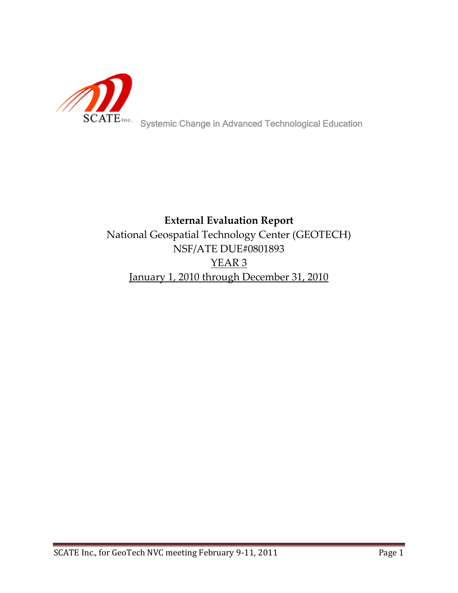

# **External Evaluation Report** National Geospatial Technology Center (GEOTECH) NSF/ATE DUE#0801893 YEAR 3 January 1, 2010 through December 31, 2010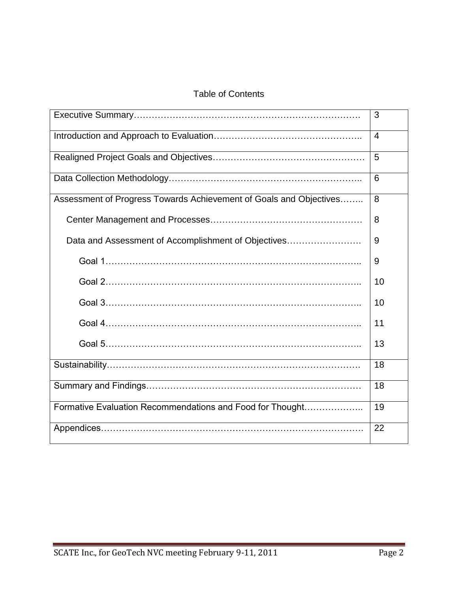### Table of Contents

|                                                                    | 3              |
|--------------------------------------------------------------------|----------------|
|                                                                    | $\overline{4}$ |
|                                                                    | 5              |
|                                                                    | 6              |
| Assessment of Progress Towards Achievement of Goals and Objectives | 8              |
|                                                                    | 8              |
| Data and Assessment of Accomplishment of Objectives                | 9              |
|                                                                    | 9              |
|                                                                    | 10             |
|                                                                    | 10             |
|                                                                    | 11             |
|                                                                    | 13             |
|                                                                    | 18             |
|                                                                    | 18             |
| Formative Evaluation Recommendations and Food for Thought          | 19             |
|                                                                    | 22             |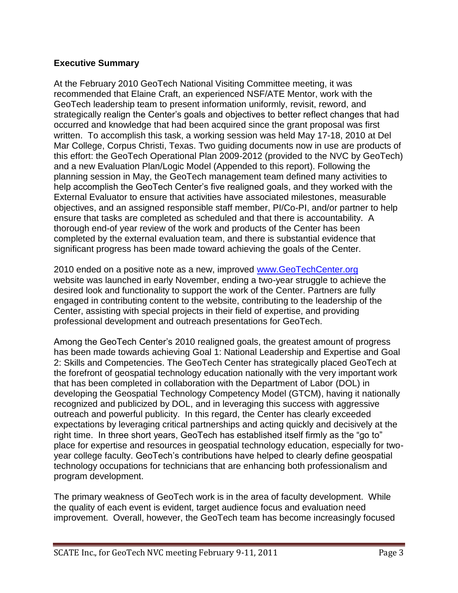### **Executive Summary**

At the February 2010 GeoTech National Visiting Committee meeting, it was recommended that Elaine Craft, an experienced NSF/ATE Mentor, work with the GeoTech leadership team to present information uniformly, revisit, reword, and strategically realign the Center"s goals and objectives to better reflect changes that had occurred and knowledge that had been acquired since the grant proposal was first written. To accomplish this task, a working session was held May 17-18, 2010 at Del Mar College, Corpus Christi, Texas. Two guiding documents now in use are products of this effort: the GeoTech Operational Plan 2009-2012 (provided to the NVC by GeoTech) and a new Evaluation Plan/Logic Model (Appended to this report). Following the planning session in May, the GeoTech management team defined many activities to help accomplish the GeoTech Center"s five realigned goals, and they worked with the External Evaluator to ensure that activities have associated milestones, measurable objectives, and an assigned responsible staff member, PI/Co-PI, and/or partner to help ensure that tasks are completed as scheduled and that there is accountability. A thorough end-of year review of the work and products of the Center has been completed by the external evaluation team, and there is substantial evidence that significant progress has been made toward achieving the goals of the Center.

2010 ended on a positive note as a new, improved [www.GeoTechCenter.org](http://www.geotechcenter.org/) website was launched in early November, ending a two-year struggle to achieve the desired look and functionality to support the work of the Center. Partners are fully engaged in contributing content to the website, contributing to the leadership of the Center, assisting with special projects in their field of expertise, and providing professional development and outreach presentations for GeoTech.

Among the GeoTech Center"s 2010 realigned goals, the greatest amount of progress has been made towards achieving Goal 1: National Leadership and Expertise and Goal 2: Skills and Competencies. The GeoTech Center has strategically placed GeoTech at the forefront of geospatial technology education nationally with the very important work that has been completed in collaboration with the Department of Labor (DOL) in developing the Geospatial Technology Competency Model (GTCM), having it nationally recognized and publicized by DOL, and in leveraging this success with aggressive outreach and powerful publicity. In this regard, the Center has clearly exceeded expectations by leveraging critical partnerships and acting quickly and decisively at the right time. In three short years, GeoTech has established itself firmly as the "go to" place for expertise and resources in geospatial technology education, especially for twoyear college faculty. GeoTech"s contributions have helped to clearly define geospatial technology occupations for technicians that are enhancing both professionalism and program development.

The primary weakness of GeoTech work is in the area of faculty development. While the quality of each event is evident, target audience focus and evaluation need improvement. Overall, however, the GeoTech team has become increasingly focused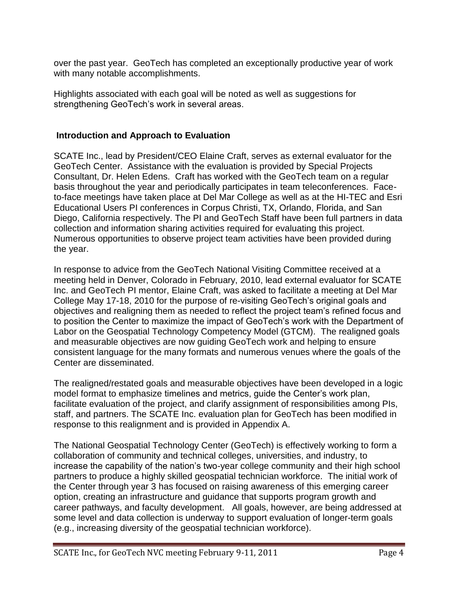over the past year. GeoTech has completed an exceptionally productive year of work with many notable accomplishments.

Highlights associated with each goal will be noted as well as suggestions for strengthening GeoTech's work in several areas.

### **Introduction and Approach to Evaluation**

SCATE Inc., lead by President/CEO Elaine Craft, serves as external evaluator for the GeoTech Center. Assistance with the evaluation is provided by Special Projects Consultant, Dr. Helen Edens. Craft has worked with the GeoTech team on a regular basis throughout the year and periodically participates in team teleconferences. Faceto-face meetings have taken place at Del Mar College as well as at the HI-TEC and Esri Educational Users PI conferences in Corpus Christi, TX, Orlando, Florida, and San Diego, California respectively. The PI and GeoTech Staff have been full partners in data collection and information sharing activities required for evaluating this project. Numerous opportunities to observe project team activities have been provided during the year.

In response to advice from the GeoTech National Visiting Committee received at a meeting held in Denver, Colorado in February, 2010, lead external evaluator for SCATE Inc. and GeoTech PI mentor, Elaine Craft, was asked to facilitate a meeting at Del Mar College May 17-18, 2010 for the purpose of re-visiting GeoTech"s original goals and objectives and realigning them as needed to reflect the project team"s refined focus and to position the Center to maximize the impact of GeoTech"s work with the Department of Labor on the Geospatial Technology Competency Model (GTCM). The realigned goals and measurable objectives are now guiding GeoTech work and helping to ensure consistent language for the many formats and numerous venues where the goals of the Center are disseminated.

The realigned/restated goals and measurable objectives have been developed in a logic model format to emphasize timelines and metrics, guide the Center"s work plan, facilitate evaluation of the project, and clarify assignment of responsibilities among PIs, staff, and partners. The SCATE Inc. evaluation plan for GeoTech has been modified in response to this realignment and is provided in Appendix A.

The National Geospatial Technology Center (GeoTech) is effectively working to form a collaboration of community and technical colleges, universities, and industry, to increase the capability of the nation's two-year college community and their high school partners to produce a highly skilled geospatial technician workforce. The initial work of the Center through year 3 has focused on raising awareness of this emerging career option, creating an infrastructure and guidance that supports program growth and career pathways, and faculty development. All goals, however, are being addressed at some level and data collection is underway to support evaluation of longer-term goals (e.g., increasing diversity of the geospatial technician workforce).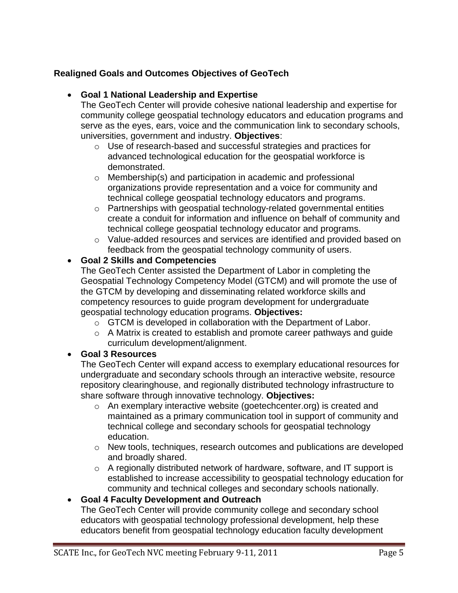## **Realigned Goals and Outcomes Objectives of GeoTech**

### **Goal 1 National Leadership and Expertise**

The GeoTech Center will provide cohesive national leadership and expertise for community college geospatial technology educators and education programs and serve as the eyes, ears, voice and the communication link to secondary schools, universities, government and industry. **Objectives**:

- o Use of research-based and successful strategies and practices for advanced technological education for the geospatial workforce is demonstrated.
- o Membership(s) and participation in academic and professional organizations provide representation and a voice for community and technical college geospatial technology educators and programs.
- o Partnerships with geospatial technology-related governmental entities create a conduit for information and influence on behalf of community and technical college geospatial technology educator and programs.
- $\circ$  Value-added resources and services are identified and provided based on feedback from the geospatial technology community of users.

## **Goal 2 Skills and Competencies**

The GeoTech Center assisted the Department of Labor in completing the Geospatial Technology Competency Model (GTCM) and will promote the use of the GTCM by developing and disseminating related workforce skills and competency resources to guide program development for undergraduate geospatial technology education programs. **Objectives:**

- o GTCM is developed in collaboration with the Department of Labor.
- o A Matrix is created to establish and promote career pathways and guide curriculum development/alignment.

## **Goal 3 Resources**

The GeoTech Center will expand access to exemplary educational resources for undergraduate and secondary schools through an interactive website, resource repository clearinghouse, and regionally distributed technology infrastructure to share software through innovative technology. **Objectives:**

- o An exemplary interactive website (goetechcenter.org) is created and maintained as a primary communication tool in support of community and technical college and secondary schools for geospatial technology education.
- o New tools, techniques, research outcomes and publications are developed and broadly shared.
- o A regionally distributed network of hardware, software, and IT support is established to increase accessibility to geospatial technology education for community and technical colleges and secondary schools nationally.

## **Goal 4 Faculty Development and Outreach**

The GeoTech Center will provide community college and secondary school educators with geospatial technology professional development, help these educators benefit from geospatial technology education faculty development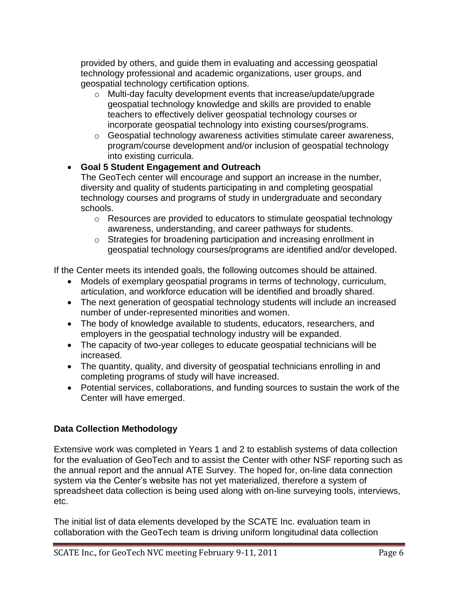provided by others, and guide them in evaluating and accessing geospatial technology professional and academic organizations, user groups, and geospatial technology certification options.

- o Multi-day faculty development events that increase/update/upgrade geospatial technology knowledge and skills are provided to enable teachers to effectively deliver geospatial technology courses or incorporate geospatial technology into existing courses/programs.
- o Geospatial technology awareness activities stimulate career awareness, program/course development and/or inclusion of geospatial technology into existing curricula.

## **Goal 5 Student Engagement and Outreach**

The GeoTech center will encourage and support an increase in the number, diversity and quality of students participating in and completing geospatial technology courses and programs of study in undergraduate and secondary schools.

- o Resources are provided to educators to stimulate geospatial technology awareness, understanding, and career pathways for students.
- o Strategies for broadening participation and increasing enrollment in geospatial technology courses/programs are identified and/or developed.

If the Center meets its intended goals, the following outcomes should be attained.

- Models of exemplary geospatial programs in terms of technology, curriculum, articulation, and workforce education will be identified and broadly shared.
- The next generation of geospatial technology students will include an increased number of under-represented minorities and women.
- The body of knowledge available to students, educators, researchers, and employers in the geospatial technology industry will be expanded.
- The capacity of two-year colleges to educate geospatial technicians will be increased.
- The quantity, quality, and diversity of geospatial technicians enrolling in and completing programs of study will have increased.
- Potential services, collaborations, and funding sources to sustain the work of the Center will have emerged.

## **Data Collection Methodology**

Extensive work was completed in Years 1 and 2 to establish systems of data collection for the evaluation of GeoTech and to assist the Center with other NSF reporting such as the annual report and the annual ATE Survey. The hoped for, on-line data connection system via the Center"s website has not yet materialized, therefore a system of spreadsheet data collection is being used along with on-line surveying tools, interviews, etc.

The initial list of data elements developed by the SCATE Inc. evaluation team in collaboration with the GeoTech team is driving uniform longitudinal data collection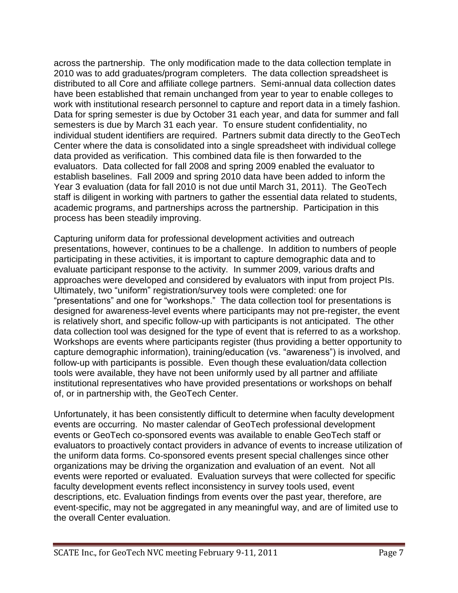across the partnership. The only modification made to the data collection template in 2010 was to add graduates/program completers. The data collection spreadsheet is distributed to all Core and affiliate college partners. Semi-annual data collection dates have been established that remain unchanged from year to year to enable colleges to work with institutional research personnel to capture and report data in a timely fashion. Data for spring semester is due by October 31 each year, and data for summer and fall semesters is due by March 31 each year. To ensure student confidentiality, no individual student identifiers are required. Partners submit data directly to the GeoTech Center where the data is consolidated into a single spreadsheet with individual college data provided as verification. This combined data file is then forwarded to the evaluators. Data collected for fall 2008 and spring 2009 enabled the evaluator to establish baselines. Fall 2009 and spring 2010 data have been added to inform the Year 3 evaluation (data for fall 2010 is not due until March 31, 2011). The GeoTech staff is diligent in working with partners to gather the essential data related to students, academic programs, and partnerships across the partnership. Participation in this process has been steadily improving.

Capturing uniform data for professional development activities and outreach presentations, however, continues to be a challenge. In addition to numbers of people participating in these activities, it is important to capture demographic data and to evaluate participant response to the activity. In summer 2009, various drafts and approaches were developed and considered by evaluators with input from project PIs. Ultimately, two "uniform" registration/survey tools were completed: one for "presentations" and one for "workshops." The data collection tool for presentations is designed for awareness-level events where participants may not pre-register, the event is relatively short, and specific follow-up with participants is not anticipated. The other data collection tool was designed for the type of event that is referred to as a workshop. Workshops are events where participants register (thus providing a better opportunity to capture demographic information), training/education (vs. "awareness") is involved, and follow-up with participants is possible. Even though these evaluation/data collection tools were available, they have not been uniformly used by all partner and affiliate institutional representatives who have provided presentations or workshops on behalf of, or in partnership with, the GeoTech Center.

Unfortunately, it has been consistently difficult to determine when faculty development events are occurring. No master calendar of GeoTech professional development events or GeoTech co-sponsored events was available to enable GeoTech staff or evaluators to proactively contact providers in advance of events to increase utilization of the uniform data forms. Co-sponsored events present special challenges since other organizations may be driving the organization and evaluation of an event. Not all events were reported or evaluated. Evaluation surveys that were collected for specific faculty development events reflect inconsistency in survey tools used, event descriptions, etc. Evaluation findings from events over the past year, therefore, are event-specific, may not be aggregated in any meaningful way, and are of limited use to the overall Center evaluation.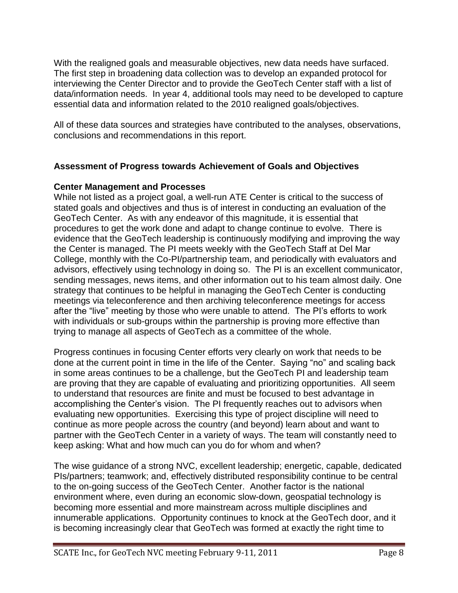With the realigned goals and measurable objectives, new data needs have surfaced. The first step in broadening data collection was to develop an expanded protocol for interviewing the Center Director and to provide the GeoTech Center staff with a list of data/information needs. In year 4, additional tools may need to be developed to capture essential data and information related to the 2010 realigned goals/objectives.

All of these data sources and strategies have contributed to the analyses, observations, conclusions and recommendations in this report.

### **Assessment of Progress towards Achievement of Goals and Objectives**

### **Center Management and Processes**

While not listed as a project goal, a well-run ATE Center is critical to the success of stated goals and objectives and thus is of interest in conducting an evaluation of the GeoTech Center. As with any endeavor of this magnitude, it is essential that procedures to get the work done and adapt to change continue to evolve. There is evidence that the GeoTech leadership is continuously modifying and improving the way the Center is managed. The PI meets weekly with the GeoTech Staff at Del Mar College, monthly with the Co-PI/partnership team, and periodically with evaluators and advisors, effectively using technology in doing so. The PI is an excellent communicator, sending messages, news items, and other information out to his team almost daily. One strategy that continues to be helpful in managing the GeoTech Center is conducting meetings via teleconference and then archiving teleconference meetings for access after the "live" meeting by those who were unable to attend. The PI"s efforts to work with individuals or sub-groups within the partnership is proving more effective than trying to manage all aspects of GeoTech as a committee of the whole.

Progress continues in focusing Center efforts very clearly on work that needs to be done at the current point in time in the life of the Center. Saying "no" and scaling back in some areas continues to be a challenge, but the GeoTech PI and leadership team are proving that they are capable of evaluating and prioritizing opportunities. All seem to understand that resources are finite and must be focused to best advantage in accomplishing the Center"s vision. The PI frequently reaches out to advisors when evaluating new opportunities. Exercising this type of project discipline will need to continue as more people across the country (and beyond) learn about and want to partner with the GeoTech Center in a variety of ways. The team will constantly need to keep asking: What and how much can you do for whom and when?

The wise guidance of a strong NVC, excellent leadership; energetic, capable, dedicated PIs/partners; teamwork; and, effectively distributed responsibility continue to be central to the on-going success of the GeoTech Center. Another factor is the national environment where, even during an economic slow-down, geospatial technology is becoming more essential and more mainstream across multiple disciplines and innumerable applications. Opportunity continues to knock at the GeoTech door, and it is becoming increasingly clear that GeoTech was formed at exactly the right time to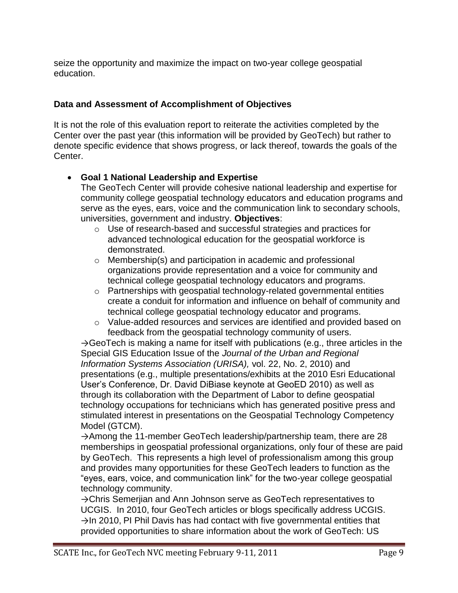seize the opportunity and maximize the impact on two-year college geospatial education.

### **Data and Assessment of Accomplishment of Objectives**

It is not the role of this evaluation report to reiterate the activities completed by the Center over the past year (this information will be provided by GeoTech) but rather to denote specific evidence that shows progress, or lack thereof, towards the goals of the Center.

### **Goal 1 National Leadership and Expertise**

The GeoTech Center will provide cohesive national leadership and expertise for community college geospatial technology educators and education programs and serve as the eyes, ears, voice and the communication link to secondary schools, universities, government and industry. **Objectives**:

- o Use of research-based and successful strategies and practices for advanced technological education for the geospatial workforce is demonstrated.
- o Membership(s) and participation in academic and professional organizations provide representation and a voice for community and technical college geospatial technology educators and programs.
- o Partnerships with geospatial technology-related governmental entities create a conduit for information and influence on behalf of community and technical college geospatial technology educator and programs.
- o Value-added resources and services are identified and provided based on feedback from the geospatial technology community of users.

 $\rightarrow$ GeoTech is making a name for itself with publications (e.g., three articles in the Special GIS Education Issue of the *Journal of the Urban and Regional Information Systems Association (URISA),* vol. 22, No. 2, 2010) and presentations (e.g., multiple presentations/exhibits at the 2010 Esri Educational User"s Conference, Dr. David DiBiase keynote at GeoED 2010) as well as through its collaboration with the Department of Labor to define geospatial technology occupations for technicians which has generated positive press and stimulated interest in presentations on the Geospatial Technology Competency Model (GTCM).

→Among the 11-member GeoTech leadership/partnership team, there are 28 memberships in geospatial professional organizations, only four of these are paid by GeoTech. This represents a high level of professionalism among this group and provides many opportunities for these GeoTech leaders to function as the "eyes, ears, voice, and communication link" for the two-year college geospatial technology community.

→Chris Semerjian and Ann Johnson serve as GeoTech representatives to UCGIS. In 2010, four GeoTech articles or blogs specifically address UCGIS.  $\rightarrow$ In 2010, PI Phil Davis has had contact with five governmental entities that provided opportunities to share information about the work of GeoTech: US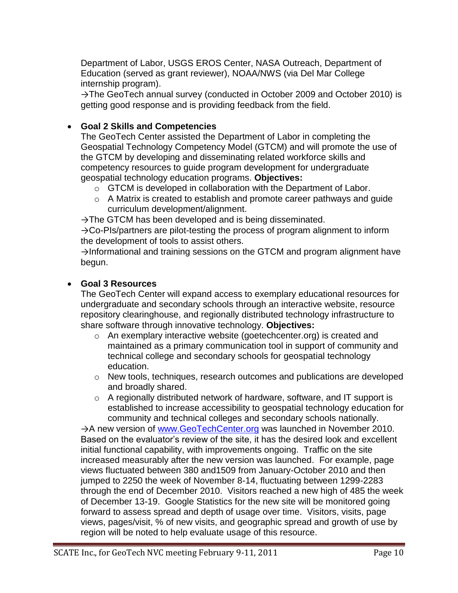Department of Labor, USGS EROS Center, NASA Outreach, Department of Education (served as grant reviewer), NOAA/NWS (via Del Mar College internship program).

→The GeoTech annual survey (conducted in October 2009 and October 2010) is getting good response and is providing feedback from the field.

### **Goal 2 Skills and Competencies**

The GeoTech Center assisted the Department of Labor in completing the Geospatial Technology Competency Model (GTCM) and will promote the use of the GTCM by developing and disseminating related workforce skills and competency resources to guide program development for undergraduate geospatial technology education programs. **Objectives:**

- $\circ$  GTCM is developed in collaboration with the Department of Labor.
- o A Matrix is created to establish and promote career pathways and guide curriculum development/alignment.

 $\rightarrow$ The GTCM has been developed and is being disseminated.

→Co-PIs/partners are pilot-testing the process of program alignment to inform the development of tools to assist others.

 $\rightarrow$ Informational and training sessions on the GTCM and program alignment have begun.

### **Goal 3 Resources**

The GeoTech Center will expand access to exemplary educational resources for undergraduate and secondary schools through an interactive website, resource repository clearinghouse, and regionally distributed technology infrastructure to share software through innovative technology. **Objectives:**

- o An exemplary interactive website (goetechcenter.org) is created and maintained as a primary communication tool in support of community and technical college and secondary schools for geospatial technology education.
- $\circ$  New tools, techniques, research outcomes and publications are developed and broadly shared.
- $\circ$  A regionally distributed network of hardware, software, and IT support is established to increase accessibility to geospatial technology education for community and technical colleges and secondary schools nationally.

→A new version of [www.GeoTechCenter.org](http://www.geotechcenter.org/) was launched in November 2010. Based on the evaluator"s review of the site, it has the desired look and excellent initial functional capability, with improvements ongoing. Traffic on the site increased measurably after the new version was launched. For example, page views fluctuated between 380 and1509 from January-October 2010 and then jumped to 2250 the week of November 8-14, fluctuating between 1299-2283 through the end of December 2010. Visitors reached a new high of 485 the week of December 13-19. Google Statistics for the new site will be monitored going forward to assess spread and depth of usage over time. Visitors, visits, page views, pages/visit, % of new visits, and geographic spread and growth of use by region will be noted to help evaluate usage of this resource.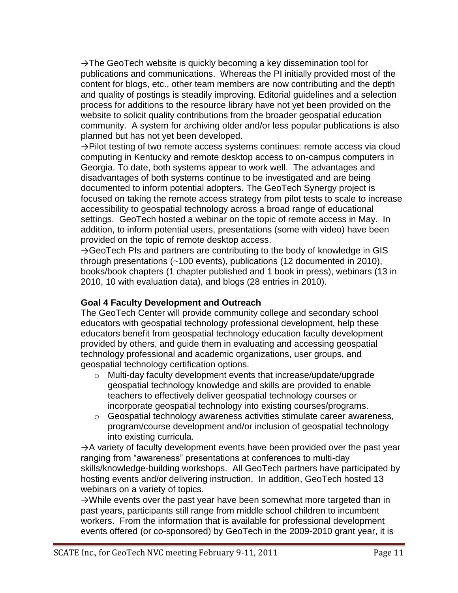$\rightarrow$ The GeoTech website is quickly becoming a key dissemination tool for publications and communications. Whereas the PI initially provided most of the content for blogs, etc., other team members are now contributing and the depth and quality of postings is steadily improving. Editorial guidelines and a selection process for additions to the resource library have not yet been provided on the website to solicit quality contributions from the broader geospatial education community. A system for archiving older and/or less popular publications is also planned but has not yet been developed.

→Pilot testing of two remote access systems continues: remote access via cloud computing in Kentucky and remote desktop access to on-campus computers in Georgia. To date, both systems appear to work well. The advantages and disadvantages of both systems continue to be investigated and are being documented to inform potential adopters. The GeoTech Synergy project is focused on taking the remote access strategy from pilot tests to scale to increase accessibility to geospatial technology across a broad range of educational settings. GeoTech hosted a webinar on the topic of remote access in May. In addition, to inform potential users, presentations (some with video) have been provided on the topic of remote desktop access.

 $\rightarrow$ GeoTech PIs and partners are contributing to the body of knowledge in GIS through presentations (~100 events), publications (12 documented in 2010), books/book chapters (1 chapter published and 1 book in press), webinars (13 in 2010, 10 with evaluation data), and blogs (28 entries in 2010).

### **Goal 4 Faculty Development and Outreach**

The GeoTech Center will provide community college and secondary school educators with geospatial technology professional development, help these educators benefit from geospatial technology education faculty development provided by others, and guide them in evaluating and accessing geospatial technology professional and academic organizations, user groups, and geospatial technology certification options.

- o Multi-day faculty development events that increase/update/upgrade geospatial technology knowledge and skills are provided to enable teachers to effectively deliver geospatial technology courses or incorporate geospatial technology into existing courses/programs.
- o Geospatial technology awareness activities stimulate career awareness, program/course development and/or inclusion of geospatial technology into existing curricula.

 $\rightarrow$  A variety of faculty development events have been provided over the past year ranging from "awareness" presentations at conferences to multi-day skills/knowledge-building workshops. All GeoTech partners have participated by hosting events and/or delivering instruction. In addition, GeoTech hosted 13 webinars on a variety of topics.

→While events over the past year have been somewhat more targeted than in past years, participants still range from middle school children to incumbent workers. From the information that is available for professional development events offered (or co-sponsored) by GeoTech in the 2009-2010 grant year, it is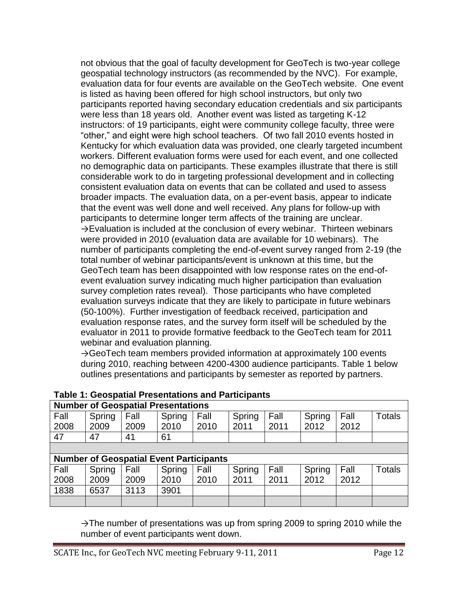not obvious that the goal of faculty development for GeoTech is two-year college geospatial technology instructors (as recommended by the NVC). For example, evaluation data for four events are available on the GeoTech website. One event is listed as having been offered for high school instructors, but only two participants reported having secondary education credentials and six participants were less than 18 years old. Another event was listed as targeting K-12 instructors: of 19 participants, eight were community college faculty, three were "other," and eight were high school teachers. Of two fall 2010 events hosted in Kentucky for which evaluation data was provided, one clearly targeted incumbent workers. Different evaluation forms were used for each event, and one collected no demographic data on participants. These examples illustrate that there is still considerable work to do in targeting professional development and in collecting consistent evaluation data on events that can be collated and used to assess broader impacts. The evaluation data, on a per-event basis, appear to indicate that the event was well done and well received. Any plans for follow-up with participants to determine longer term affects of the training are unclear. →Evaluation is included at the conclusion of every webinar. Thirteen webinars were provided in 2010 (evaluation data are available for 10 webinars). The number of participants completing the end-of-event survey ranged from 2-19 (the total number of webinar participants/event is unknown at this time, but the GeoTech team has been disappointed with low response rates on the end-ofevent evaluation survey indicating much higher participation than evaluation survey completion rates reveal). Those participants who have completed evaluation surveys indicate that they are likely to participate in future webinars (50-100%). Further investigation of feedback received, participation and evaluation response rates, and the survey form itself will be scheduled by the evaluator in 2011 to provide formative feedback to the GeoTech team for 2011 webinar and evaluation planning.

 $\rightarrow$ GeoTech team members provided information at approximately 100 events during 2010, reaching between 4200-4300 audience participants. Table 1 below outlines presentations and participants by semester as reported by partners.

|      | Number of Geospatial Fresentations             |      |        |      |        |      |        |      |               |  |
|------|------------------------------------------------|------|--------|------|--------|------|--------|------|---------------|--|
| Fall | Spring                                         | Fall | Spring | Fall | Spring | Fall | Spring | Fall | <b>Totals</b> |  |
| 2008 | 2009                                           | 2009 | 2010   | 2010 | 2011   | 2011 | 2012   | 2012 |               |  |
| 47   | 47                                             | 41   | 61     |      |        |      |        |      |               |  |
|      |                                                |      |        |      |        |      |        |      |               |  |
|      | <b>Number of Geospatial Event Participants</b> |      |        |      |        |      |        |      |               |  |
| Fall | Spring                                         | Fall | Spring | Fall | Spring | Fall | Spring | Fall | <b>Totals</b> |  |
| 2008 | 2009                                           | 2009 | 2010   | 2010 | 2011   | 2011 | 2012   | 2012 |               |  |
| 1838 | 6537                                           | 3113 | 3901   |      |        |      |        |      |               |  |
|      |                                                |      |        |      |        |      |        |      |               |  |

#### **Table 1: Geospatial Presentations and Participants Number of Geospatial Presentations**

 $\rightarrow$ The number of presentations was up from spring 2009 to spring 2010 while the number of event participants went down.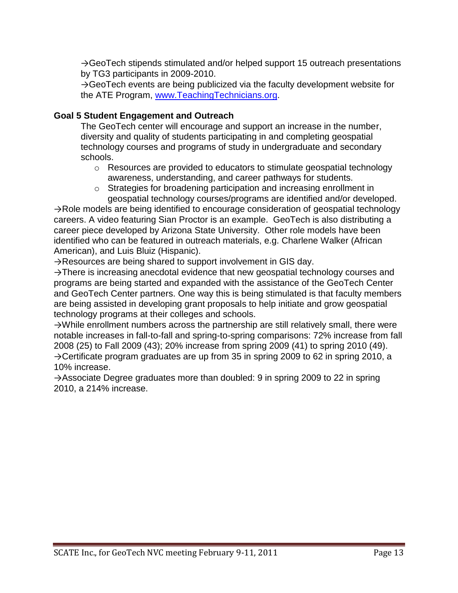→GeoTech stipends stimulated and/or helped support 15 outreach presentations by TG3 participants in 2009-2010.

 $\rightarrow$ GeoTech events are being publicized via the faculty development website for the ATE Program, [www.TeachingTechnicians.org.](http://www.teachingtechnicians.org/)

### **Goal 5 Student Engagement and Outreach**

The GeoTech center will encourage and support an increase in the number, diversity and quality of students participating in and completing geospatial technology courses and programs of study in undergraduate and secondary schools.

- $\circ$  Resources are provided to educators to stimulate geospatial technology awareness, understanding, and career pathways for students.
- o Strategies for broadening participation and increasing enrollment in geospatial technology courses/programs are identified and/or developed.

 $\rightarrow$ Role models are being identified to encourage consideration of geospatial technology careers. A video featuring Sian Proctor is an example. GeoTech is also distributing a career piece developed by Arizona State University. Other role models have been identified who can be featured in outreach materials, e.g. Charlene Walker (African American), and Luis Bluiz (Hispanic).

 $\rightarrow$ Resources are being shared to support involvement in GIS day.

→There is increasing anecdotal evidence that new geospatial technology courses and programs are being started and expanded with the assistance of the GeoTech Center and GeoTech Center partners. One way this is being stimulated is that faculty members are being assisted in developing grant proposals to help initiate and grow geospatial technology programs at their colleges and schools.

 $\rightarrow$ While enrollment numbers across the partnership are still relatively small, there were notable increases in fall-to-fall and spring-to-spring comparisons: 72% increase from fall 2008 (25) to Fall 2009 (43); 20% increase from spring 2009 (41) to spring 2010 (49). →Certificate program graduates are up from 35 in spring 2009 to 62 in spring 2010, a 10% increase.

 $\rightarrow$ Associate Degree graduates more than doubled: 9 in spring 2009 to 22 in spring 2010, a 214% increase.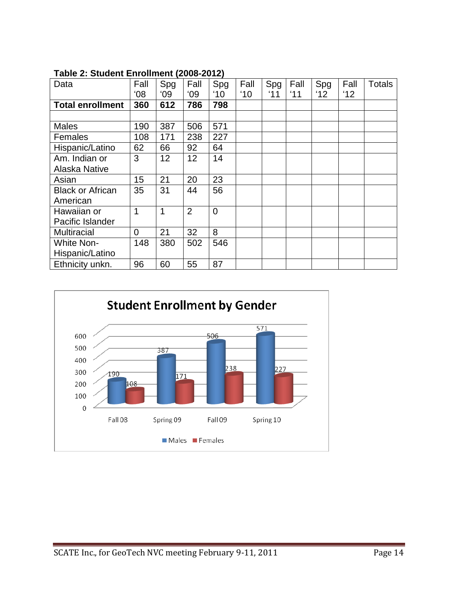| $1800$ $\sigma$ $2.$ Oldern Emonitent (2000-2012) |      |     |                |     |               |     |      |                |      |               |
|---------------------------------------------------|------|-----|----------------|-----|---------------|-----|------|----------------|------|---------------|
| Data                                              | Fall | Spg | Fall           | Spg | Fall          | Spg | Fall | Spg            | Fall | <b>Totals</b> |
|                                                   | '08  | '09 | '09            | '10 | $^{\prime}10$ | '11 | '11  | $^{\prime}$ 12 | 12'  |               |
| <b>Total enrollment</b>                           | 360  | 612 | 786            | 798 |               |     |      |                |      |               |
|                                                   |      |     |                |     |               |     |      |                |      |               |
| <b>Males</b>                                      | 190  | 387 | 506            | 571 |               |     |      |                |      |               |
| <b>Females</b>                                    | 108  | 171 | 238            | 227 |               |     |      |                |      |               |
| Hispanic/Latino                                   | 62   | 66  | 92             | 64  |               |     |      |                |      |               |
| Am. Indian or                                     | 3    | 12  | 12             | 14  |               |     |      |                |      |               |
| <b>Alaska Native</b>                              |      |     |                |     |               |     |      |                |      |               |
| Asian                                             | 15   | 21  | 20             | 23  |               |     |      |                |      |               |
| <b>Black or African</b>                           | 35   | 31  | 44             | 56  |               |     |      |                |      |               |
| American                                          |      |     |                |     |               |     |      |                |      |               |
| Hawaiian or                                       | 1    | 1   | $\overline{2}$ | 0   |               |     |      |                |      |               |
| Pacific Islander                                  |      |     |                |     |               |     |      |                |      |               |
| <b>Multiracial</b>                                | 0    | 21  | 32             | 8   |               |     |      |                |      |               |
| <b>White Non-</b>                                 | 148  | 380 | 502            | 546 |               |     |      |                |      |               |
| Hispanic/Latino                                   |      |     |                |     |               |     |      |                |      |               |
| Ethnicity unkn.                                   | 96   | 60  | 55             | 87  |               |     |      |                |      |               |

**Table 2: Student Enrollment (2008-2012)**

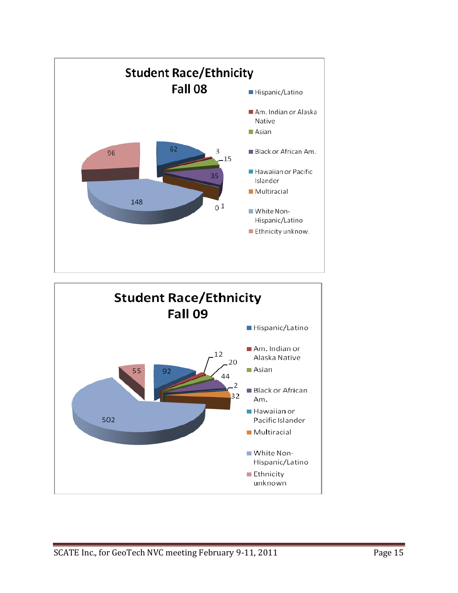

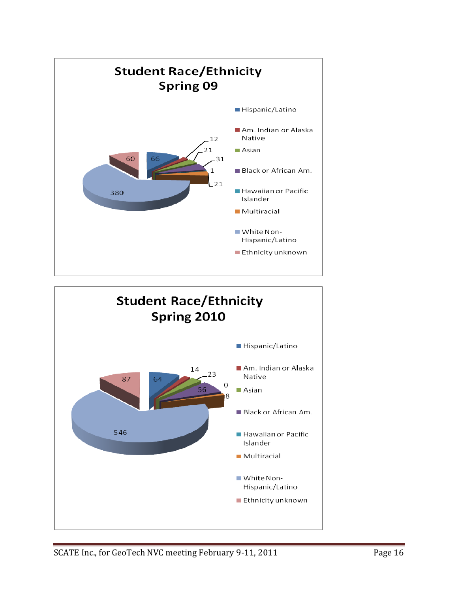

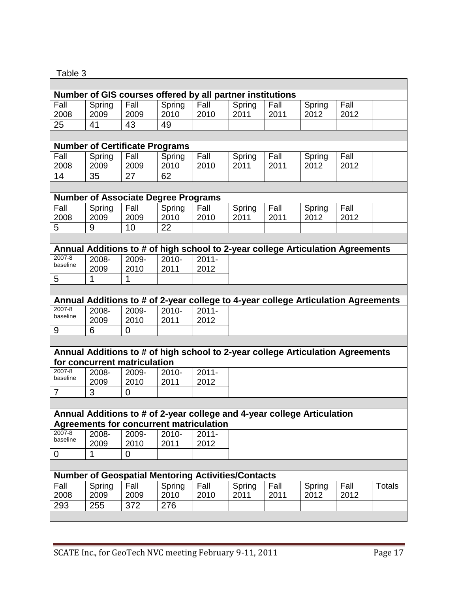## Table 3

 $\overline{\Gamma}$ 

| Number of GIS courses offered by all partner institutions |               |                                       |                                            |                                                           |        |                                                                         |        |                                                                                   |               |
|-----------------------------------------------------------|---------------|---------------------------------------|--------------------------------------------|-----------------------------------------------------------|--------|-------------------------------------------------------------------------|--------|-----------------------------------------------------------------------------------|---------------|
| Fall                                                      | Spring        | Fall                                  | Spring                                     | Fall                                                      | Spring | Fall                                                                    | Spring | Fall                                                                              |               |
| 2008                                                      | 2009          | 2009                                  | 2010                                       | 2010                                                      | 2011   | 2011                                                                    | 2012   | 2012                                                                              |               |
| 25                                                        | 41            | 43                                    | 49                                         |                                                           |        |                                                                         |        |                                                                                   |               |
|                                                           |               |                                       |                                            |                                                           |        |                                                                         |        |                                                                                   |               |
|                                                           |               | <b>Number of Certificate Programs</b> |                                            |                                                           |        |                                                                         |        |                                                                                   |               |
| Fall                                                      | Spring        | Fall                                  | Spring                                     | Fall                                                      | Spring | Fall                                                                    | Spring | Fall                                                                              |               |
| 2008                                                      | 2009          | 2009                                  | 2010                                       | 2010                                                      | 2011   | 2011                                                                    | 2012   | 2012                                                                              |               |
| 14                                                        | 35            | 27                                    | 62                                         |                                                           |        |                                                                         |        |                                                                                   |               |
|                                                           |               |                                       |                                            |                                                           |        |                                                                         |        |                                                                                   |               |
|                                                           |               |                                       | <b>Number of Associate Degree Programs</b> |                                                           |        |                                                                         |        |                                                                                   |               |
| Fall                                                      | Spring        | Fall                                  | Spring                                     | Fall                                                      | Spring | Fall                                                                    | Spring | Fall                                                                              |               |
| 2008                                                      | 2009          | 2009                                  | 2010                                       | 2010                                                      | 2011   | 2011                                                                    | 2012   | 2012                                                                              |               |
| 5                                                         | 9             | 10                                    | 22                                         |                                                           |        |                                                                         |        |                                                                                   |               |
|                                                           |               |                                       |                                            |                                                           |        |                                                                         |        |                                                                                   |               |
| $2007 - 8$                                                |               |                                       |                                            |                                                           |        |                                                                         |        | Annual Additions to # of high school to 2-year college Articulation Agreements    |               |
| baseline                                                  | 2008-<br>2009 | 2009-<br>2010                         | 2010-<br>2011                              | $2011 -$<br>2012                                          |        |                                                                         |        |                                                                                   |               |
| 5                                                         | $\mathbf{1}$  | $\mathbf{1}$                          |                                            |                                                           |        |                                                                         |        |                                                                                   |               |
|                                                           |               |                                       |                                            |                                                           |        |                                                                         |        |                                                                                   |               |
|                                                           |               |                                       |                                            |                                                           |        |                                                                         |        | Annual Additions to # of 2-year college to 4-year college Articulation Agreements |               |
| $2007 - 8$                                                | 2008-         | 2009-                                 | 2010-                                      | $2011 -$                                                  |        |                                                                         |        |                                                                                   |               |
| baseline                                                  | 2009          | 2010                                  | 2011                                       | 2012                                                      |        |                                                                         |        |                                                                                   |               |
| 9                                                         | 6             | $\overline{0}$                        |                                            |                                                           |        |                                                                         |        |                                                                                   |               |
|                                                           |               |                                       |                                            |                                                           |        |                                                                         |        |                                                                                   |               |
|                                                           |               |                                       |                                            |                                                           |        |                                                                         |        | Annual Additions to # of high school to 2-year college Articulation Agreements    |               |
| $2007 - 8$                                                | 2008-         | for concurrent matriculation<br>2009- | 2010-                                      | $2011 -$                                                  |        |                                                                         |        |                                                                                   |               |
| baseline                                                  | 2009          | 2010                                  | 2011                                       | 2012                                                      |        |                                                                         |        |                                                                                   |               |
| $\overline{7}$                                            | 3             | $\Omega$                              |                                            |                                                           |        |                                                                         |        |                                                                                   |               |
|                                                           |               |                                       |                                            |                                                           |        |                                                                         |        |                                                                                   |               |
|                                                           |               |                                       |                                            |                                                           |        | Annual Additions to # of 2-year college and 4-year college Articulation |        |                                                                                   |               |
|                                                           |               |                                       |                                            | <b>Agreements for concurrent matriculation</b>            |        |                                                                         |        |                                                                                   |               |
| $2007 - 8$                                                | 2008-         | 2009-                                 | 2010-                                      | $2011 -$                                                  |        |                                                                         |        |                                                                                   |               |
| baseline                                                  | 2009          | 2010                                  | 2011                                       | 2012                                                      |        |                                                                         |        |                                                                                   |               |
| 0                                                         | 1             | 0                                     |                                            |                                                           |        |                                                                         |        |                                                                                   |               |
|                                                           |               |                                       |                                            |                                                           |        |                                                                         |        |                                                                                   |               |
|                                                           |               |                                       |                                            | <b>Number of Geospatial Mentoring Activities/Contacts</b> |        |                                                                         |        |                                                                                   |               |
| Fall                                                      | Spring        | Fall                                  | Spring                                     | Fall                                                      | Spring | Fall                                                                    | Spring | Fall                                                                              | <b>Totals</b> |
| 2008                                                      | 2009          | 2009                                  | 2010                                       | 2010                                                      | 2011   | 2011                                                                    | 2012   | 2012                                                                              |               |
| 293                                                       | 255           | 372                                   | 276                                        |                                                           |        |                                                                         |        |                                                                                   |               |
|                                                           |               |                                       |                                            |                                                           |        |                                                                         |        |                                                                                   |               |

 $\overline{\phantom{a}}$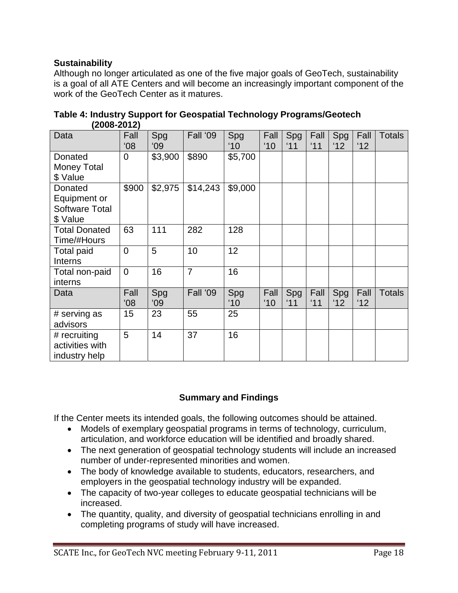### **Sustainability**

Although no longer articulated as one of the five major goals of GeoTech, sustainability is a goal of all ATE Centers and will become an increasingly important component of the work of the GeoTech Center as it matures.

| Data                                                         | Fall<br>08'    | Spg<br>09 | Fall '09       | Spg<br>$^{\prime}10$ | Fall<br>$^{\prime}10$ | Spg<br>'11 | Fall<br>'11 | Spg<br>'12 | Fall<br>'12 | <b>Totals</b> |
|--------------------------------------------------------------|----------------|-----------|----------------|----------------------|-----------------------|------------|-------------|------------|-------------|---------------|
| Donated<br><b>Money Total</b><br>\$ Value                    | 0              | \$3,900   | \$890          | \$5,700              |                       |            |             |            |             |               |
| Donated<br>Equipment or<br><b>Software Total</b><br>\$ Value | \$900          | \$2,975   | \$14,243       | \$9,000              |                       |            |             |            |             |               |
| <b>Total Donated</b><br>Time/#Hours                          | 63             | 111       | 282            | 128                  |                       |            |             |            |             |               |
| <b>Total paid</b><br>Interns                                 | $\overline{0}$ | 5         | 10             | 12                   |                       |            |             |            |             |               |
| Total non-paid<br>interns                                    | $\overline{0}$ | 16        | $\overline{7}$ | 16                   |                       |            |             |            |             |               |
| Data                                                         | Fall<br>08'    | Spg<br>09 | Fall '09       | Spg<br>$10^{\circ}$  | Fall<br>'10           | Spg<br>'11 | Fall<br>'11 | Spg<br>'12 | Fall<br>12' | <b>Totals</b> |
| # serving as<br>advisors                                     | 15             | 23        | 55             | 25                   |                       |            |             |            |             |               |
| # recruiting<br>activities with<br>industry help             | 5              | 14        | 37             | 16                   |                       |            |             |            |             |               |

### **Table 4: Industry Support for Geospatial Technology Programs/Geotech (2008-2012)**

### **Summary and Findings**

If the Center meets its intended goals, the following outcomes should be attained.

- Models of exemplary geospatial programs in terms of technology, curriculum, articulation, and workforce education will be identified and broadly shared.
- The next generation of geospatial technology students will include an increased number of under-represented minorities and women.
- The body of knowledge available to students, educators, researchers, and employers in the geospatial technology industry will be expanded.
- The capacity of two-year colleges to educate geospatial technicians will be increased.
- The quantity, quality, and diversity of geospatial technicians enrolling in and completing programs of study will have increased.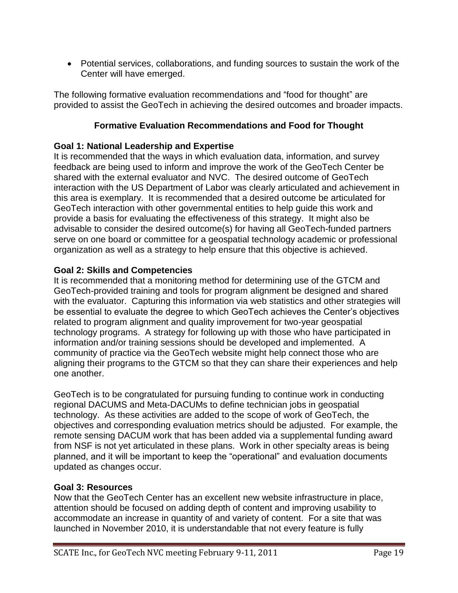Potential services, collaborations, and funding sources to sustain the work of the Center will have emerged.

The following formative evaluation recommendations and "food for thought" are provided to assist the GeoTech in achieving the desired outcomes and broader impacts.

### **Formative Evaluation Recommendations and Food for Thought**

### **Goal 1: National Leadership and Expertise**

It is recommended that the ways in which evaluation data, information, and survey feedback are being used to inform and improve the work of the GeoTech Center be shared with the external evaluator and NVC. The desired outcome of GeoTech interaction with the US Department of Labor was clearly articulated and achievement in this area is exemplary. It is recommended that a desired outcome be articulated for GeoTech interaction with other governmental entities to help guide this work and provide a basis for evaluating the effectiveness of this strategy. It might also be advisable to consider the desired outcome(s) for having all GeoTech-funded partners serve on one board or committee for a geospatial technology academic or professional organization as well as a strategy to help ensure that this objective is achieved.

### **Goal 2: Skills and Competencies**

It is recommended that a monitoring method for determining use of the GTCM and GeoTech-provided training and tools for program alignment be designed and shared with the evaluator. Capturing this information via web statistics and other strategies will be essential to evaluate the degree to which GeoTech achieves the Center's objectives related to program alignment and quality improvement for two-year geospatial technology programs. A strategy for following up with those who have participated in information and/or training sessions should be developed and implemented. A community of practice via the GeoTech website might help connect those who are aligning their programs to the GTCM so that they can share their experiences and help one another.

GeoTech is to be congratulated for pursuing funding to continue work in conducting regional DACUMS and Meta-DACUMs to define technician jobs in geospatial technology. As these activities are added to the scope of work of GeoTech, the objectives and corresponding evaluation metrics should be adjusted. For example, the remote sensing DACUM work that has been added via a supplemental funding award from NSF is not yet articulated in these plans. Work in other specialty areas is being planned, and it will be important to keep the "operational" and evaluation documents updated as changes occur.

### **Goal 3: Resources**

Now that the GeoTech Center has an excellent new website infrastructure in place, attention should be focused on adding depth of content and improving usability to accommodate an increase in quantity of and variety of content. For a site that was launched in November 2010, it is understandable that not every feature is fully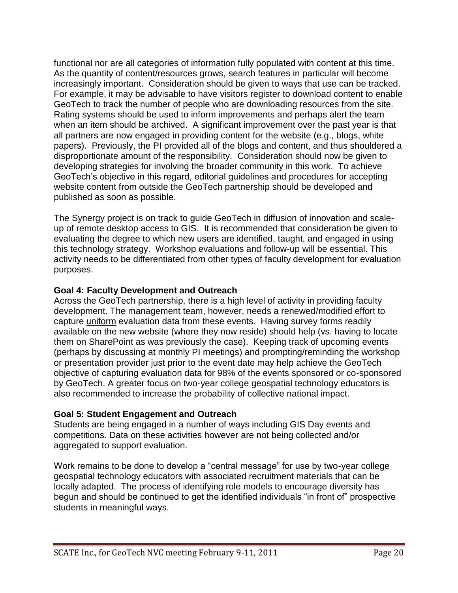functional nor are all categories of information fully populated with content at this time. As the quantity of content/resources grows, search features in particular will become increasingly important. Consideration should be given to ways that use can be tracked. For example, it may be advisable to have visitors register to download content to enable GeoTech to track the number of people who are downloading resources from the site. Rating systems should be used to inform improvements and perhaps alert the team when an item should be archived. A significant improvement over the past year is that all partners are now engaged in providing content for the website (e.g., blogs, white papers). Previously, the PI provided all of the blogs and content, and thus shouldered a disproportionate amount of the responsibility. Consideration should now be given to developing strategies for involving the broader community in this work. To achieve GeoTech"s objective in this regard, editorial guidelines and procedures for accepting website content from outside the GeoTech partnership should be developed and published as soon as possible.

The Synergy project is on track to guide GeoTech in diffusion of innovation and scaleup of remote desktop access to GIS. It is recommended that consideration be given to evaluating the degree to which new users are identified, taught, and engaged in using this technology strategy. Workshop evaluations and follow-up will be essential. This activity needs to be differentiated from other types of faculty development for evaluation purposes.

### **Goal 4: Faculty Development and Outreach**

Across the GeoTech partnership, there is a high level of activity in providing faculty development. The management team, however, needs a renewed/modified effort to capture uniform evaluation data from these events. Having survey forms readily available on the new website (where they now reside) should help (vs. having to locate them on SharePoint as was previously the case). Keeping track of upcoming events (perhaps by discussing at monthly PI meetings) and prompting/reminding the workshop or presentation provider just prior to the event date may help achieve the GeoTech objective of capturing evaluation data for 98% of the events sponsored or co-sponsored by GeoTech. A greater focus on two-year college geospatial technology educators is also recommended to increase the probability of collective national impact.

### **Goal 5: Student Engagement and Outreach**

Students are being engaged in a number of ways including GIS Day events and competitions. Data on these activities however are not being collected and/or aggregated to support evaluation.

Work remains to be done to develop a "central message" for use by two-year college geospatial technology educators with associated recruitment materials that can be locally adapted. The process of identifying role models to encourage diversity has begun and should be continued to get the identified individuals "in front of" prospective students in meaningful ways.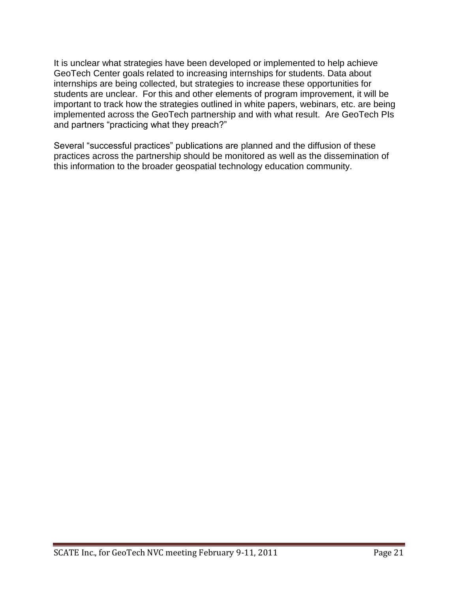It is unclear what strategies have been developed or implemented to help achieve GeoTech Center goals related to increasing internships for students. Data about internships are being collected, but strategies to increase these opportunities for students are unclear. For this and other elements of program improvement, it will be important to track how the strategies outlined in white papers, webinars, etc. are being implemented across the GeoTech partnership and with what result. Are GeoTech PIs and partners "practicing what they preach?"

Several "successful practices" publications are planned and the diffusion of these practices across the partnership should be monitored as well as the dissemination of this information to the broader geospatial technology education community.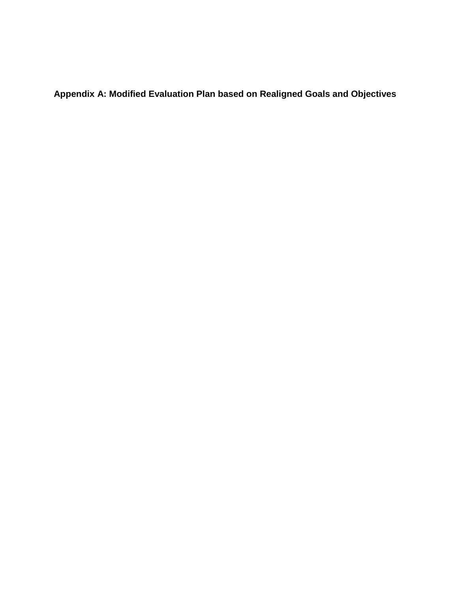**Appendix A: Modified Evaluation Plan based on Realigned Goals and Objectives**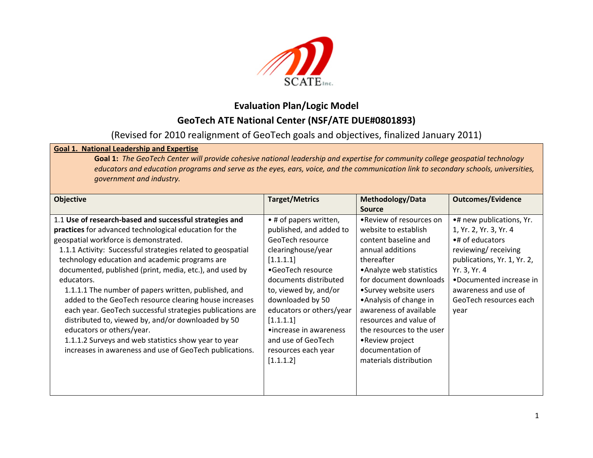

# **Evaluation Plan/Logic Model GeoTech ATE National Center (NSF/ATE DUE#0801893)**

## (Revised for 2010 realignment of GeoTech goals and objectives, finalized January 2011)

### **Goal 1. National Leadership and Expertise**

**Goal 1:** The GeoTech Center will provide cohesive national leadership and expertise for community college geospatial technology educators and education programs and serve as the eyes, ears, voice, and the communication link to secondary schools, universities, *government and industry.*

| <b>Objective</b>                                                                                                                                                                                                                                                                                                                                                                                                                                                                                                                                                                                                                                                                                                                          | <b>Target/Metrics</b>                                                                                                                                                                                                                                                                                                            | Methodology/Data<br><b>Source</b>                                                                                                                                                                                                                                                                                                                                     | <b>Outcomes/Evidence</b>                                                                                                                                                                                                         |
|-------------------------------------------------------------------------------------------------------------------------------------------------------------------------------------------------------------------------------------------------------------------------------------------------------------------------------------------------------------------------------------------------------------------------------------------------------------------------------------------------------------------------------------------------------------------------------------------------------------------------------------------------------------------------------------------------------------------------------------------|----------------------------------------------------------------------------------------------------------------------------------------------------------------------------------------------------------------------------------------------------------------------------------------------------------------------------------|-----------------------------------------------------------------------------------------------------------------------------------------------------------------------------------------------------------------------------------------------------------------------------------------------------------------------------------------------------------------------|----------------------------------------------------------------------------------------------------------------------------------------------------------------------------------------------------------------------------------|
| 1.1 Use of research-based and successful strategies and<br>practices for advanced technological education for the<br>geospatial workforce is demonstrated.<br>1.1.1 Activity: Successful strategies related to geospatial<br>technology education and academic programs are<br>documented, published (print, media, etc.), and used by<br>educators.<br>1.1.1.1 The number of papers written, published, and<br>added to the GeoTech resource clearing house increases<br>each year. GeoTech successful strategies publications are<br>distributed to, viewed by, and/or downloaded by 50<br>educators or others/year.<br>1.1.1.2 Surveys and web statistics show year to year<br>increases in awareness and use of GeoTech publications. | • # of papers written,<br>published, and added to<br>GeoTech resource<br>clearinghouse/year<br>[1.1.1.1]<br>•GeoTech resource<br>documents distributed<br>to, viewed by, and/or<br>downloaded by 50<br>educators or others/year<br>[1.1.1.1]<br>•increase in awareness<br>and use of GeoTech<br>resources each year<br>[1.1.1.2] | .Review of resources on<br>website to establish<br>content baseline and<br>annual additions<br>thereafter<br>• Analyze web statistics<br>for document downloads<br>•Survey website users<br>• Analysis of change in<br>awareness of available<br>resources and value of<br>the resources to the user<br>•Review project<br>documentation of<br>materials distribution | •# new publications, Yr.<br>1, Yr. 2, Yr. 3, Yr. 4<br>•# of educators<br>reviewing/receiving<br>publications, Yr. 1, Yr. 2,<br>Yr. 3, Yr. 4<br>•Documented increase in<br>awareness and use of<br>GeoTech resources each<br>year |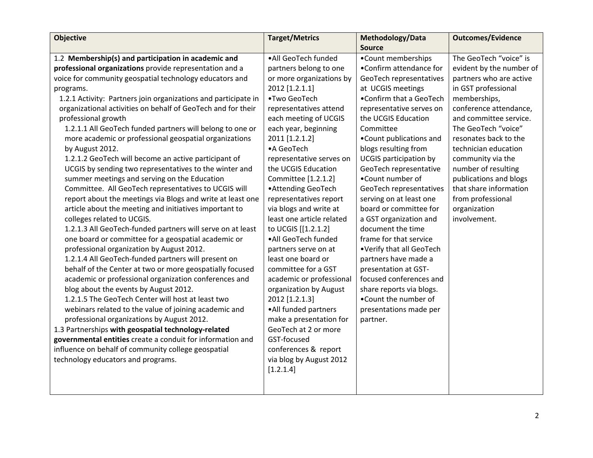| <b>Objective</b>                                               | <b>Target/Metrics</b>     | Methodology/Data              | <b>Outcomes/Evidence</b> |
|----------------------------------------------------------------|---------------------------|-------------------------------|--------------------------|
|                                                                |                           | <b>Source</b>                 |                          |
| 1.2 Membership(s) and participation in academic and            | ·All GeoTech funded       | •Count memberships            | The GeoTech "voice" is   |
| professional organizations provide representation and a        | partners belong to one    | •Confirm attendance for       | evident by the number of |
| voice for community geospatial technology educators and        | or more organizations by  | GeoTech representatives       | partners who are active  |
| programs.                                                      | 2012 [1.2.1.1]            | at UCGIS meetings             | in GST professional      |
| 1.2.1 Activity: Partners join organizations and participate in | •Two GeoTech              | •Confirm that a GeoTech       | memberships,             |
| organizational activities on behalf of GeoTech and for their   | representatives attend    | representative serves on      | conference attendance,   |
| professional growth                                            | each meeting of UCGIS     | the UCGIS Education           | and committee service.   |
| 1.2.1.1 All GeoTech funded partners will belong to one or      | each year, beginning      | Committee                     | The GeoTech "voice"      |
| more academic or professional geospatial organizations         | 2011 [1.2.1.2]            | . Count publications and      | resonates back to the    |
| by August 2012.                                                | •A GeoTech                | blogs resulting from          | technician education     |
| 1.2.1.2 GeoTech will become an active participant of           | representative serves on  | <b>UCGIS</b> participation by | community via the        |
| UCGIS by sending two representatives to the winter and         | the UCGIS Education       | GeoTech representative        | number of resulting      |
| summer meetings and serving on the Education                   | Committee [1.2.1.2]       | •Count number of              | publications and blogs   |
| Committee. All GeoTech representatives to UCGIS will           | • Attending GeoTech       | GeoTech representatives       | that share information   |
| report about the meetings via Blogs and write at least one     | representatives report    | serving on at least one       | from professional        |
| article about the meeting and initiatives important to         | via blogs and write at    | board or committee for        | organization             |
| colleges related to UCGIS.                                     | least one article related | a GST organization and        | involvement.             |
| 1.2.1.3 All GeoTech-funded partners will serve on at least     | to UCGIS [[1.2.1.2]       | document the time             |                          |
| one board or committee for a geospatial academic or            | ·All GeoTech funded       | frame for that service        |                          |
| professional organization by August 2012.                      | partners serve on at      | •Verify that all GeoTech      |                          |
| 1.2.1.4 All GeoTech-funded partners will present on            | least one board or        | partners have made a          |                          |
| behalf of the Center at two or more geospatially focused       | committee for a GST       | presentation at GST-          |                          |
| academic or professional organization conferences and          | academic or professional  | focused conferences and       |                          |
| blog about the events by August 2012.                          | organization by August    | share reports via blogs.      |                          |
| 1.2.1.5 The GeoTech Center will host at least two              | 2012 [1.2.1.3]            | .Count the number of          |                          |
| webinars related to the value of joining academic and          | •All funded partners      | presentations made per        |                          |
| professional organizations by August 2012.                     | make a presentation for   | partner.                      |                          |
| 1.3 Partnerships with geospatial technology-related            | GeoTech at 2 or more      |                               |                          |
| governmental entities create a conduit for information and     | GST-focused               |                               |                          |
| influence on behalf of community college geospatial            | conferences & report      |                               |                          |
| technology educators and programs.                             | via blog by August 2012   |                               |                          |
|                                                                | [1.2.1.4]                 |                               |                          |
|                                                                |                           |                               |                          |
|                                                                |                           |                               |                          |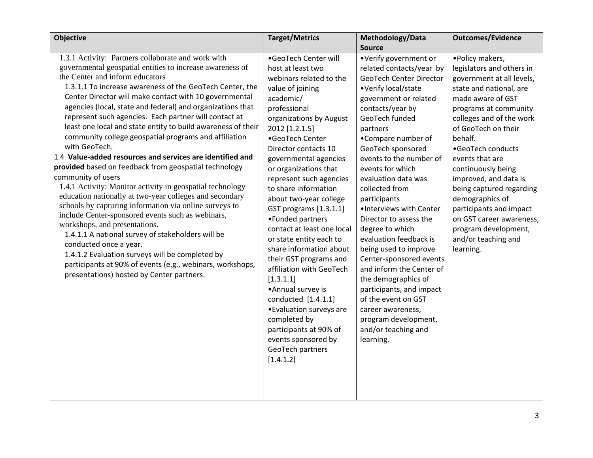| <b>Objective</b>                                                                                                                                                                                                                                                                                                                                                                                                                                                                                                                                                                                                                                                                                                                                                                                                                                                                                                                                                                                                                                                                                                                                                                                          | <b>Target/Metrics</b>                                                                                                                                                                                                                                                                                                                                                                                                                                                                                                                                                                                                                                                                                                       | Methodology/Data                                                                                                                                                                                                                                                                                                                                                                                                                                                                                                                                                                                                                                                                      | <b>Outcomes/Evidence</b>                                                                                                                                                                                                                                                                                                                                                                                                                                                   |
|-----------------------------------------------------------------------------------------------------------------------------------------------------------------------------------------------------------------------------------------------------------------------------------------------------------------------------------------------------------------------------------------------------------------------------------------------------------------------------------------------------------------------------------------------------------------------------------------------------------------------------------------------------------------------------------------------------------------------------------------------------------------------------------------------------------------------------------------------------------------------------------------------------------------------------------------------------------------------------------------------------------------------------------------------------------------------------------------------------------------------------------------------------------------------------------------------------------|-----------------------------------------------------------------------------------------------------------------------------------------------------------------------------------------------------------------------------------------------------------------------------------------------------------------------------------------------------------------------------------------------------------------------------------------------------------------------------------------------------------------------------------------------------------------------------------------------------------------------------------------------------------------------------------------------------------------------------|---------------------------------------------------------------------------------------------------------------------------------------------------------------------------------------------------------------------------------------------------------------------------------------------------------------------------------------------------------------------------------------------------------------------------------------------------------------------------------------------------------------------------------------------------------------------------------------------------------------------------------------------------------------------------------------|----------------------------------------------------------------------------------------------------------------------------------------------------------------------------------------------------------------------------------------------------------------------------------------------------------------------------------------------------------------------------------------------------------------------------------------------------------------------------|
|                                                                                                                                                                                                                                                                                                                                                                                                                                                                                                                                                                                                                                                                                                                                                                                                                                                                                                                                                                                                                                                                                                                                                                                                           |                                                                                                                                                                                                                                                                                                                                                                                                                                                                                                                                                                                                                                                                                                                             | <b>Source</b>                                                                                                                                                                                                                                                                                                                                                                                                                                                                                                                                                                                                                                                                         |                                                                                                                                                                                                                                                                                                                                                                                                                                                                            |
| 1.3.1 Activity: Partners collaborate and work with<br>governmental geospatial entities to increase awareness of<br>the Center and inform educators<br>1.3.1.1 To increase awareness of the GeoTech Center, the<br>Center Director will make contact with 10 governmental<br>agencies (local, state and federal) and organizations that<br>represent such agencies. Each partner will contact at<br>least one local and state entity to build awareness of their<br>community college geospatial programs and affiliation<br>with GeoTech.<br>1.4 Value-added resources and services are identified and<br>provided based on feedback from geospatial technology<br>community of users<br>1.4.1 Activity: Monitor activity in geospatial technology<br>education nationally at two-year colleges and secondary<br>schools by capturing information via online surveys to<br>include Center-sponsored events such as webinars,<br>workshops, and presentations.<br>1.4.1.1 A national survey of stakeholders will be<br>conducted once a year.<br>1.4.1.2 Evaluation surveys will be completed by<br>participants at 90% of events (e.g., webinars, workshops,<br>presentations) hosted by Center partners. | •GeoTech Center will<br>host at least two<br>webinars related to the<br>value of joining<br>academic/<br>professional<br>organizations by August<br>2012 [1.2.1.5]<br>•GeoTech Center<br>Director contacts 10<br>governmental agencies<br>or organizations that<br>represent such agencies<br>to share information<br>about two-year college<br>GST programs [1.3.1.1]<br>•Funded partners<br>contact at least one local<br>or state entity each to<br>share information about<br>their GST programs and<br>affiliation with GeoTech<br>[1.3.1.1]<br>•Annual survey is<br>conducted [1.4.1.1]<br>• Evaluation surveys are<br>completed by<br>participants at 90% of<br>events sponsored by<br>GeoTech partners<br>[1.4.1.2] | •Verify government or<br>related contacts/year by<br><b>GeoTech Center Director</b><br>•Verify local/state<br>government or related<br>contacts/year by<br>GeoTech funded<br>partners<br>•Compare number of<br>GeoTech sponsored<br>events to the number of<br>events for which<br>evaluation data was<br>collected from<br>participants<br>·Interviews with Center<br>Director to assess the<br>degree to which<br>evaluation feedback is<br>being used to improve<br>Center-sponsored events<br>and inform the Center of<br>the demographics of<br>participants, and impact<br>of the event on GST<br>career awareness,<br>program development,<br>and/or teaching and<br>learning. | • Policy makers,<br>legislators and others in<br>government at all levels,<br>state and national, are<br>made aware of GST<br>programs at community<br>colleges and of the work<br>of GeoTech on their<br>behalf.<br>•GeoTech conducts<br>events that are<br>continuously being<br>improved, and data is<br>being captured regarding<br>demographics of<br>participants and impact<br>on GST career awareness,<br>program development,<br>and/or teaching and<br>learning. |
|                                                                                                                                                                                                                                                                                                                                                                                                                                                                                                                                                                                                                                                                                                                                                                                                                                                                                                                                                                                                                                                                                                                                                                                                           |                                                                                                                                                                                                                                                                                                                                                                                                                                                                                                                                                                                                                                                                                                                             |                                                                                                                                                                                                                                                                                                                                                                                                                                                                                                                                                                                                                                                                                       |                                                                                                                                                                                                                                                                                                                                                                                                                                                                            |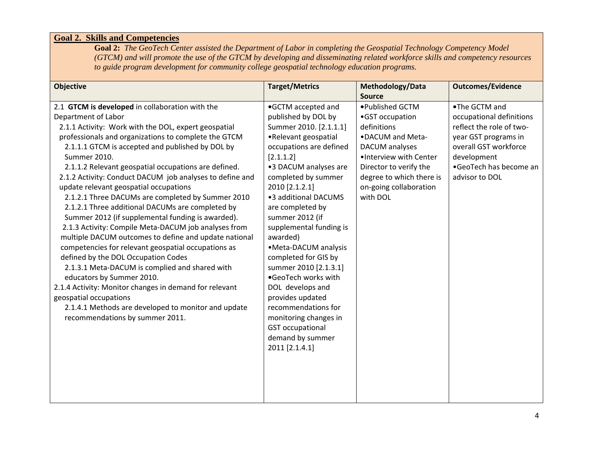### **Goal 2. Skills and Competencies**

**Goal 2:** *The GeoTech Center assisted the Department of Labor in completing the Geospatial Technology Competency Model (GTCM) and will promote the use of the GTCM by developing and disseminating related workforce skills and competency resources to guide program development for community college geospatial technology education programs.* 

| <b>Objective</b>                                                                                                                                                                                                                                                                                                                                                                                                                                                                                                                                                                                                                                                                                                                                                                                                                                                                                                                                                                                                                                                   | <b>Target/Metrics</b>                                                                                                                                                                                                                                                                                                                                                                                                                                                                                                                                                | Methodology/Data                                                                                                                                                                                               | <b>Outcomes/Evidence</b>                                                                                                                                                          |
|--------------------------------------------------------------------------------------------------------------------------------------------------------------------------------------------------------------------------------------------------------------------------------------------------------------------------------------------------------------------------------------------------------------------------------------------------------------------------------------------------------------------------------------------------------------------------------------------------------------------------------------------------------------------------------------------------------------------------------------------------------------------------------------------------------------------------------------------------------------------------------------------------------------------------------------------------------------------------------------------------------------------------------------------------------------------|----------------------------------------------------------------------------------------------------------------------------------------------------------------------------------------------------------------------------------------------------------------------------------------------------------------------------------------------------------------------------------------------------------------------------------------------------------------------------------------------------------------------------------------------------------------------|----------------------------------------------------------------------------------------------------------------------------------------------------------------------------------------------------------------|-----------------------------------------------------------------------------------------------------------------------------------------------------------------------------------|
|                                                                                                                                                                                                                                                                                                                                                                                                                                                                                                                                                                                                                                                                                                                                                                                                                                                                                                                                                                                                                                                                    |                                                                                                                                                                                                                                                                                                                                                                                                                                                                                                                                                                      | <b>Source</b>                                                                                                                                                                                                  |                                                                                                                                                                                   |
| 2.1 GTCM is developed in collaboration with the<br>Department of Labor<br>2.1.1 Activity: Work with the DOL, expert geospatial<br>professionals and organizations to complete the GTCM<br>2.1.1.1 GTCM is accepted and published by DOL by<br>Summer 2010.<br>2.1.1.2 Relevant geospatial occupations are defined.<br>2.1.2 Activity: Conduct DACUM job analyses to define and<br>update relevant geospatial occupations<br>2.1.2.1 Three DACUMs are completed by Summer 2010<br>2.1.2.1 Three additional DACUMs are completed by<br>Summer 2012 (if supplemental funding is awarded).<br>2.1.3 Activity: Compile Meta-DACUM job analyses from<br>multiple DACUM outcomes to define and update national<br>competencies for relevant geospatial occupations as<br>defined by the DOL Occupation Codes<br>2.1.3.1 Meta-DACUM is complied and shared with<br>educators by Summer 2010.<br>2.1.4 Activity: Monitor changes in demand for relevant<br>geospatial occupations<br>2.1.4.1 Methods are developed to monitor and update<br>recommendations by summer 2011. | .GCTM accepted and<br>published by DOL by<br>Summer 2010. [2.1.1.1]<br>•Relevant geospatial<br>occupations are defined<br>[2.1.1.2]<br>•3 DACUM analyses are<br>completed by summer<br>2010 [2.1.2.1]<br>•3 additional DACUMS<br>are completed by<br>summer 2012 (if<br>supplemental funding is<br>awarded)<br>•Meta-DACUM analysis<br>completed for GIS by<br>summer 2010 [2.1.3.1]<br>.GeoTech works with<br>DOL develops and<br>provides updated<br>recommendations for<br>monitoring changes in<br><b>GST</b> occupational<br>demand by summer<br>2011 [2.1.4.1] | ●Published GCTM<br>•GST occupation<br>definitions<br>•DACUM and Meta-<br>DACUM analyses<br>. Interview with Center<br>Director to verify the<br>degree to which there is<br>on-going collaboration<br>with DOL | .The GCTM and<br>occupational definitions<br>reflect the role of two-<br>year GST programs in<br>overall GST workforce<br>development<br>•GeoTech has become an<br>advisor to DOL |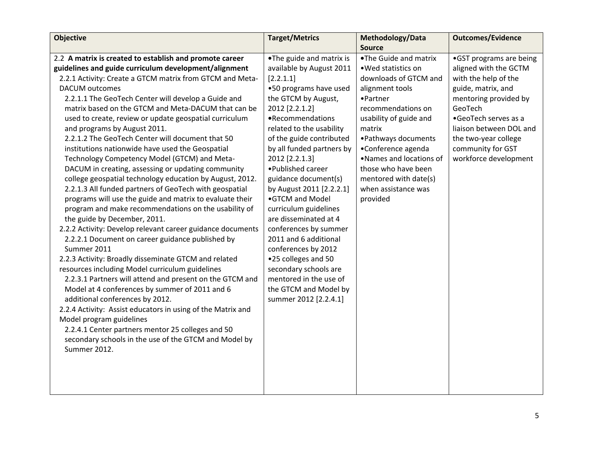| <b>Objective</b>                                            | <b>Target/Metrics</b>     | Methodology/Data         | <b>Outcomes/Evidence</b> |
|-------------------------------------------------------------|---------------------------|--------------------------|--------------------------|
|                                                             |                           | <b>Source</b>            |                          |
| 2.2 A matrix is created to establish and promote career     | .The guide and matrix is  | .The Guide and matrix    | •GST programs are being  |
| guidelines and guide curriculum development/alignment       | available by August 2011  | .Wed statistics on       | aligned with the GCTM    |
| 2.2.1 Activity: Create a GTCM matrix from GTCM and Meta-    | [2.2.1.1]                 | downloads of GTCM and    | with the help of the     |
| <b>DACUM</b> outcomes                                       | .50 programs have used    | alignment tools          | guide, matrix, and       |
| 2.2.1.1 The GeoTech Center will develop a Guide and         | the GTCM by August,       | •Partner                 | mentoring provided by    |
| matrix based on the GTCM and Meta-DACUM that can be         | 2012 [2.2.1.2]            | recommendations on       | GeoTech                  |
| used to create, review or update geospatial curriculum      | •Recommendations          | usability of guide and   | •GeoTech serves as a     |
| and programs by August 2011.                                | related to the usability  | matrix                   | liaison between DOL and  |
| 2.2.1.2 The GeoTech Center will document that 50            | of the guide contributed  | • Pathways documents     | the two-year college     |
| institutions nationwide have used the Geospatial            | by all funded partners by | •Conference agenda       | community for GST        |
| Technology Competency Model (GTCM) and Meta-                | 2012 [2.2.1.3]            | . Names and locations of | workforce development    |
| DACUM in creating, assessing or updating community          | •Published career         | those who have been      |                          |
| college geospatial technology education by August, 2012.    | guidance document(s)      | mentored with date(s)    |                          |
| 2.2.1.3 All funded partners of GeoTech with geospatial      | by August 2011 [2.2.2.1]  | when assistance was      |                          |
| programs will use the guide and matrix to evaluate their    | •GTCM and Model           | provided                 |                          |
| program and make recommendations on the usability of        | curriculum guidelines     |                          |                          |
| the guide by December, 2011.                                | are disseminated at 4     |                          |                          |
| 2.2.2 Activity: Develop relevant career guidance documents  | conferences by summer     |                          |                          |
| 2.2.2.1 Document on career guidance published by            | 2011 and 6 additional     |                          |                          |
| Summer 2011                                                 | conferences by 2012       |                          |                          |
| 2.2.3 Activity: Broadly disseminate GTCM and related        | .25 colleges and 50       |                          |                          |
| resources including Model curriculum guidelines             | secondary schools are     |                          |                          |
| 2.2.3.1 Partners will attend and present on the GTCM and    | mentored in the use of    |                          |                          |
| Model at 4 conferences by summer of 2011 and 6              | the GTCM and Model by     |                          |                          |
| additional conferences by 2012.                             | summer 2012 [2.2.4.1]     |                          |                          |
| 2.2.4 Activity: Assist educators in using of the Matrix and |                           |                          |                          |
| Model program guidelines                                    |                           |                          |                          |
| 2.2.4.1 Center partners mentor 25 colleges and 50           |                           |                          |                          |
| secondary schools in the use of the GTCM and Model by       |                           |                          |                          |
| Summer 2012.                                                |                           |                          |                          |
|                                                             |                           |                          |                          |
|                                                             |                           |                          |                          |
|                                                             |                           |                          |                          |
|                                                             |                           |                          |                          |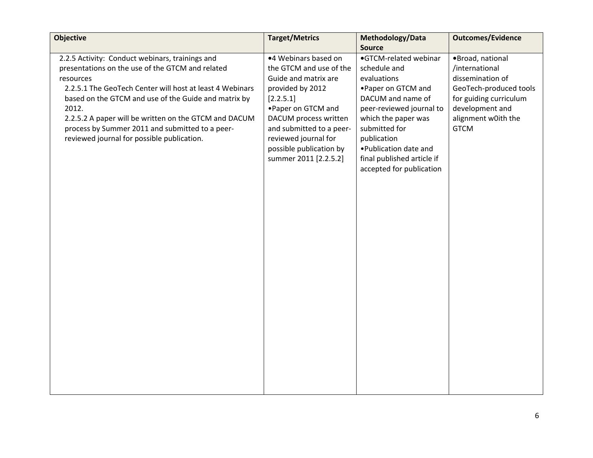| <b>Objective</b>                                                                                                                                                                                                                                                                                                                                                                                        | <b>Target/Metrics</b>                                                                                                                                                                                                                                            | Methodology/Data                                                                                                                                                                                                                                                        | <b>Outcomes/Evidence</b>                                                                                                                                            |
|---------------------------------------------------------------------------------------------------------------------------------------------------------------------------------------------------------------------------------------------------------------------------------------------------------------------------------------------------------------------------------------------------------|------------------------------------------------------------------------------------------------------------------------------------------------------------------------------------------------------------------------------------------------------------------|-------------------------------------------------------------------------------------------------------------------------------------------------------------------------------------------------------------------------------------------------------------------------|---------------------------------------------------------------------------------------------------------------------------------------------------------------------|
|                                                                                                                                                                                                                                                                                                                                                                                                         |                                                                                                                                                                                                                                                                  | <b>Source</b>                                                                                                                                                                                                                                                           |                                                                                                                                                                     |
| 2.2.5 Activity: Conduct webinars, trainings and<br>presentations on the use of the GTCM and related<br>resources<br>2.2.5.1 The GeoTech Center will host at least 4 Webinars<br>based on the GTCM and use of the Guide and matrix by<br>2012.<br>2.2.5.2 A paper will be written on the GTCM and DACUM<br>process by Summer 2011 and submitted to a peer-<br>reviewed journal for possible publication. | •4 Webinars based on<br>the GTCM and use of the<br>Guide and matrix are<br>provided by 2012<br>[2.2.5.1]<br>• Paper on GTCM and<br>DACUM process written<br>and submitted to a peer-<br>reviewed journal for<br>possible publication by<br>summer 2011 [2.2.5.2] | •GTCM-related webinar<br>schedule and<br>evaluations<br>• Paper on GTCM and<br>DACUM and name of<br>peer-reviewed journal to<br>which the paper was<br>submitted for<br>publication<br>• Publication date and<br>final published article if<br>accepted for publication | ·Broad, national<br>/international<br>dissemination of<br>GeoTech-produced tools<br>for guiding curriculum<br>development and<br>alignment w0ith the<br><b>GTCM</b> |
|                                                                                                                                                                                                                                                                                                                                                                                                         |                                                                                                                                                                                                                                                                  |                                                                                                                                                                                                                                                                         |                                                                                                                                                                     |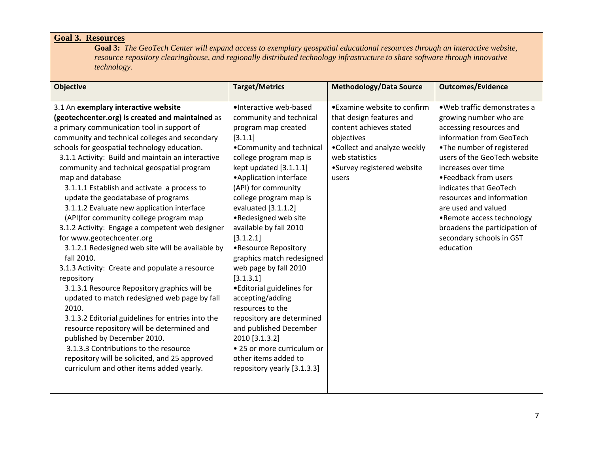### **Goal 3. Resources**

**Goal 3:** *The GeoTech Center will expand access to exemplary geospatial educational resources through an interactive website, resource repository clearinghouse, and regionally distributed technology infrastructure to share software through innovative technology.*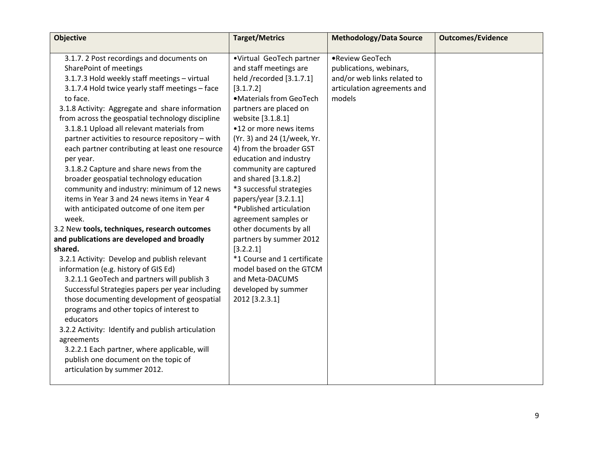| <b>Objective</b>                                  | <b>Target/Metrics</b>       | <b>Methodology/Data Source</b> | <b>Outcomes/Evidence</b> |
|---------------------------------------------------|-----------------------------|--------------------------------|--------------------------|
|                                                   |                             |                                |                          |
| 3.1.7. 2 Post recordings and documents on         | •Virtual GeoTech partner    | •Review GeoTech                |                          |
| SharePoint of meetings                            | and staff meetings are      | publications, webinars,        |                          |
| 3.1.7.3 Hold weekly staff meetings - virtual      | held /recorded [3.1.7.1]    | and/or web links related to    |                          |
| 3.1.7.4 Hold twice yearly staff meetings - face   | [3.1.7.2]                   | articulation agreements and    |                          |
| to face.                                          | ·Materials from GeoTech     | models                         |                          |
| 3.1.8 Activity: Aggregate and share information   | partners are placed on      |                                |                          |
| from across the geospatial technology discipline  | website [3.1.8.1]           |                                |                          |
| 3.1.8.1 Upload all relevant materials from        | •12 or more news items      |                                |                          |
| partner activities to resource repository - with  | (Yr. 3) and 24 (1/week, Yr. |                                |                          |
| each partner contributing at least one resource   | 4) from the broader GST     |                                |                          |
| per year.                                         | education and industry      |                                |                          |
| 3.1.8.2 Capture and share news from the           | community are captured      |                                |                          |
| broader geospatial technology education           | and shared [3.1.8.2]        |                                |                          |
| community and industry: minimum of 12 news        | *3 successful strategies    |                                |                          |
| items in Year 3 and 24 news items in Year 4       | papers/year [3.2.1.1]       |                                |                          |
| with anticipated outcome of one item per          | *Published articulation     |                                |                          |
| week.                                             | agreement samples or        |                                |                          |
| 3.2 New tools, techniques, research outcomes      | other documents by all      |                                |                          |
| and publications are developed and broadly        | partners by summer 2012     |                                |                          |
| shared.                                           | [3.2.2.1]                   |                                |                          |
| 3.2.1 Activity: Develop and publish relevant      | *1 Course and 1 certificate |                                |                          |
| information (e.g. history of GIS Ed)              | model based on the GTCM     |                                |                          |
| 3.2.1.1 GeoTech and partners will publish 3       | and Meta-DACUMS             |                                |                          |
| Successful Strategies papers per year including   | developed by summer         |                                |                          |
| those documenting development of geospatial       | 2012 [3.2.3.1]              |                                |                          |
| programs and other topics of interest to          |                             |                                |                          |
| educators                                         |                             |                                |                          |
| 3.2.2 Activity: Identify and publish articulation |                             |                                |                          |
| agreements                                        |                             |                                |                          |
| 3.2.2.1 Each partner, where applicable, will      |                             |                                |                          |
| publish one document on the topic of              |                             |                                |                          |
| articulation by summer 2012.                      |                             |                                |                          |
|                                                   |                             |                                |                          |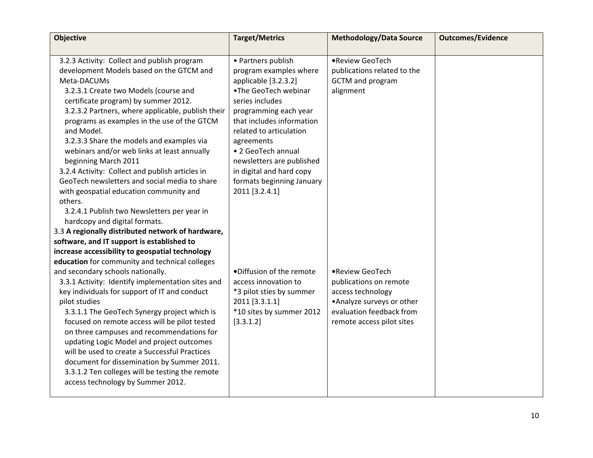| <b>Objective</b>                                  | <b>Target/Metrics</b>     | <b>Methodology/Data Source</b> | <b>Outcomes/Evidence</b> |
|---------------------------------------------------|---------------------------|--------------------------------|--------------------------|
|                                                   |                           |                                |                          |
| 3.2.3 Activity: Collect and publish program       | • Partners publish        | •Review GeoTech                |                          |
| development Models based on the GTCM and          | program examples where    | publications related to the    |                          |
| Meta-DACUMs                                       | applicable [3.2.3.2]      | <b>GCTM</b> and program        |                          |
| 3.2.3.1 Create two Models (course and             | .The GeoTech webinar      | alignment                      |                          |
| certificate program) by summer 2012.              | series includes           |                                |                          |
| 3.2.3.2 Partners, where applicable, publish their | programming each year     |                                |                          |
| programs as examples in the use of the GTCM       | that includes information |                                |                          |
| and Model.                                        | related to articulation   |                                |                          |
| 3.2.3.3 Share the models and examples via         | agreements                |                                |                          |
| webinars and/or web links at least annually       | • 2 GeoTech annual        |                                |                          |
| beginning March 2011                              | newsletters are published |                                |                          |
| 3.2.4 Activity: Collect and publish articles in   | in digital and hard copy  |                                |                          |
| GeoTech newsletters and social media to share     | formats beginning January |                                |                          |
| with geospatial education community and           | 2011 [3.2.4.1]            |                                |                          |
| others.                                           |                           |                                |                          |
| 3.2.4.1 Publish two Newsletters per year in       |                           |                                |                          |
| hardcopy and digital formats.                     |                           |                                |                          |
| 3.3 A regionally distributed network of hardware, |                           |                                |                          |
| software, and IT support is established to        |                           |                                |                          |
| increase accessibility to geospatial technology   |                           |                                |                          |
| education for community and technical colleges    |                           |                                |                          |
| and secondary schools nationally.                 | ·Diffusion of the remote  | •Review GeoTech                |                          |
| 3.3.1 Activity: Identify implementation sites and | access innovation to      | publications on remote         |                          |
| key individuals for support of IT and conduct     | *3 pilot sties by summer  | access technology              |                          |
| pilot studies                                     | 2011 [3.3.1.1]            | • Analyze surveys or other     |                          |
| 3.3.1.1 The GeoTech Synergy project which is      | *10 sites by summer 2012  | evaluation feedback from       |                          |
| focused on remote access will be pilot tested     | [3.3.1.2]                 | remote access pilot sites      |                          |
| on three campuses and recommendations for         |                           |                                |                          |
| updating Logic Model and project outcomes         |                           |                                |                          |
| will be used to create a Successful Practices     |                           |                                |                          |
| document for dissemination by Summer 2011.        |                           |                                |                          |
| 3.3.1.2 Ten colleges will be testing the remote   |                           |                                |                          |
| access technology by Summer 2012.                 |                           |                                |                          |
|                                                   |                           |                                |                          |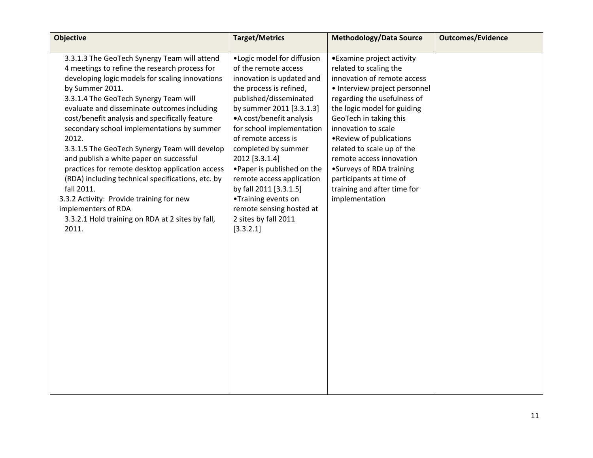| <b>Objective</b>                                                                                                                                                                                                                                                                                                                                                                                                                                                                                                                                                                                                                                                                                                       | <b>Target/Metrics</b>                                                                                                                                                                                                                                                                                                                                                                                                                                                    | <b>Methodology/Data Source</b>                                                                                                                                                                                                                                                                                                                                                                                                    | <b>Outcomes/Evidence</b> |
|------------------------------------------------------------------------------------------------------------------------------------------------------------------------------------------------------------------------------------------------------------------------------------------------------------------------------------------------------------------------------------------------------------------------------------------------------------------------------------------------------------------------------------------------------------------------------------------------------------------------------------------------------------------------------------------------------------------------|--------------------------------------------------------------------------------------------------------------------------------------------------------------------------------------------------------------------------------------------------------------------------------------------------------------------------------------------------------------------------------------------------------------------------------------------------------------------------|-----------------------------------------------------------------------------------------------------------------------------------------------------------------------------------------------------------------------------------------------------------------------------------------------------------------------------------------------------------------------------------------------------------------------------------|--------------------------|
| 3.3.1.3 The GeoTech Synergy Team will attend<br>4 meetings to refine the research process for<br>developing logic models for scaling innovations<br>by Summer 2011.<br>3.3.1.4 The GeoTech Synergy Team will<br>evaluate and disseminate outcomes including<br>cost/benefit analysis and specifically feature<br>secondary school implementations by summer<br>2012.<br>3.3.1.5 The GeoTech Synergy Team will develop<br>and publish a white paper on successful<br>practices for remote desktop application access<br>(RDA) including technical specifications, etc. by<br>fall 2011.<br>3.3.2 Activity: Provide training for new<br>implementers of RDA<br>3.3.2.1 Hold training on RDA at 2 sites by fall,<br>2011. | .Logic model for diffusion<br>of the remote access<br>innovation is updated and<br>the process is refined,<br>published/disseminated<br>by summer 2011 [3.3.1.3]<br>• A cost/benefit analysis<br>for school implementation<br>of remote access is<br>completed by summer<br>2012 [3.3.1.4]<br>. Paper is published on the<br>remote access application<br>by fall 2011 [3.3.1.5]<br>•Training events on<br>remote sensing hosted at<br>2 sites by fall 2011<br>[3.3.2.1] | • Examine project activity<br>related to scaling the<br>innovation of remote access<br>• Interview project personnel<br>regarding the usefulness of<br>the logic model for guiding<br>GeoTech in taking this<br>innovation to scale<br>. Review of publications<br>related to scale up of the<br>remote access innovation<br>•Surveys of RDA training<br>participants at time of<br>training and after time for<br>implementation |                          |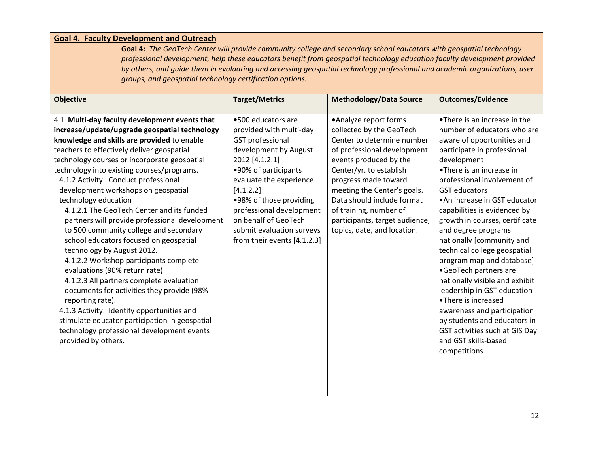### **Goal 4. Faculty Development and Outreach**

**Goal 4:** The GeoTech Center will provide community college and secondary school educators with geospatial technology *professional development, help these educators benefit from geospatial technology education faculty development provided* by others, and guide them in evaluating and accessing geospatial technology professional and academic organizations, user *groups, and geospatial technology certification options.*

| <b>Objective</b>                                                                                                                                                                                                                                                                                                                                                                                                                                                                                                                                                                                                                                                                                                                                                                                                                                                                                                                                                                | <b>Target/Metrics</b>                                                                                                                                                                                                                                                                                                          | <b>Methodology/Data Source</b>                                                                                                                                                                                                                                                                                                                      | <b>Outcomes/Evidence</b>                                                                                                                                                                                                                                                                                                                                                                                                                                                                                                                                                                                                                                                                                 |
|---------------------------------------------------------------------------------------------------------------------------------------------------------------------------------------------------------------------------------------------------------------------------------------------------------------------------------------------------------------------------------------------------------------------------------------------------------------------------------------------------------------------------------------------------------------------------------------------------------------------------------------------------------------------------------------------------------------------------------------------------------------------------------------------------------------------------------------------------------------------------------------------------------------------------------------------------------------------------------|--------------------------------------------------------------------------------------------------------------------------------------------------------------------------------------------------------------------------------------------------------------------------------------------------------------------------------|-----------------------------------------------------------------------------------------------------------------------------------------------------------------------------------------------------------------------------------------------------------------------------------------------------------------------------------------------------|----------------------------------------------------------------------------------------------------------------------------------------------------------------------------------------------------------------------------------------------------------------------------------------------------------------------------------------------------------------------------------------------------------------------------------------------------------------------------------------------------------------------------------------------------------------------------------------------------------------------------------------------------------------------------------------------------------|
| 4.1 Multi-day faculty development events that<br>increase/update/upgrade geospatial technology<br>knowledge and skills are provided to enable<br>teachers to effectively deliver geospatial<br>technology courses or incorporate geospatial<br>technology into existing courses/programs.<br>4.1.2 Activity: Conduct professional<br>development workshops on geospatial<br>technology education<br>4.1.2.1 The GeoTech Center and its funded<br>partners will provide professional development<br>to 500 community college and secondary<br>school educators focused on geospatial<br>technology by August 2012.<br>4.1.2.2 Workshop participants complete<br>evaluations (90% return rate)<br>4.1.2.3 All partners complete evaluation<br>documents for activities they provide (98%<br>reporting rate).<br>4.1.3 Activity: Identify opportunities and<br>stimulate educator participation in geospatial<br>technology professional development events<br>provided by others. | •500 educators are<br>provided with multi-day<br><b>GST</b> professional<br>development by August<br>2012 [4.1.2.1]<br>•90% of participants<br>evaluate the experience<br>[4.1.2.2]<br>.98% of those providing<br>professional development<br>on behalf of GeoTech<br>submit evaluation surveys<br>from their events [4.1.2.3] | •Analyze report forms<br>collected by the GeoTech<br>Center to determine number<br>of professional development<br>events produced by the<br>Center/yr. to establish<br>progress made toward<br>meeting the Center's goals.<br>Data should include format<br>of training, number of<br>participants, target audience,<br>topics, date, and location. | •There is an increase in the<br>number of educators who are<br>aware of opportunities and<br>participate in professional<br>development<br>•There is an increase in<br>professional involvement of<br><b>GST</b> educators<br>• An increase in GST educator<br>capabilities is evidenced by<br>growth in courses, certificate<br>and degree programs<br>nationally [community and<br>technical college geospatial<br>program map and database]<br>•GeoTech partners are<br>nationally visible and exhibit<br>leadership in GST education<br>•There is increased<br>awareness and participation<br>by students and educators in<br>GST activities such at GIS Day<br>and GST skills-based<br>competitions |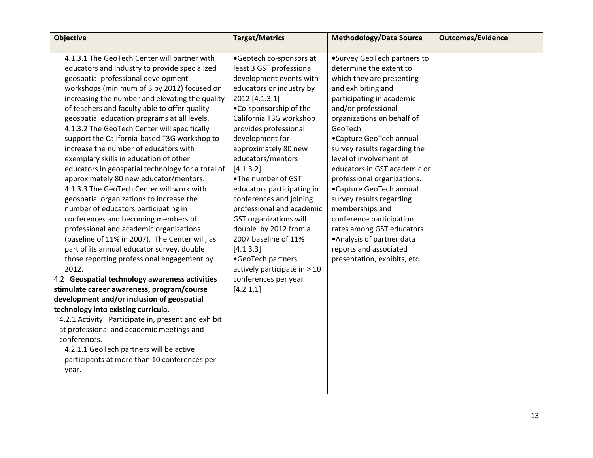| <b>Objective</b>                                                                                                                                                                                                                                                                                                                                                                                                                                                                                                                                                                                                                                                                                                                                                                                                                                                                                                                                                                                                                                                                                                                                                                                                                                                                                                                                                                                                 | <b>Target/Metrics</b>                                                                                                                                                                                                                                                                                                                                                                                                                                                                                                                                                                        | <b>Methodology/Data Source</b>                                                                                                                                                                                                                                                                                                                                                                                                                                                                                                                                                         | <b>Outcomes/Evidence</b> |
|------------------------------------------------------------------------------------------------------------------------------------------------------------------------------------------------------------------------------------------------------------------------------------------------------------------------------------------------------------------------------------------------------------------------------------------------------------------------------------------------------------------------------------------------------------------------------------------------------------------------------------------------------------------------------------------------------------------------------------------------------------------------------------------------------------------------------------------------------------------------------------------------------------------------------------------------------------------------------------------------------------------------------------------------------------------------------------------------------------------------------------------------------------------------------------------------------------------------------------------------------------------------------------------------------------------------------------------------------------------------------------------------------------------|----------------------------------------------------------------------------------------------------------------------------------------------------------------------------------------------------------------------------------------------------------------------------------------------------------------------------------------------------------------------------------------------------------------------------------------------------------------------------------------------------------------------------------------------------------------------------------------------|----------------------------------------------------------------------------------------------------------------------------------------------------------------------------------------------------------------------------------------------------------------------------------------------------------------------------------------------------------------------------------------------------------------------------------------------------------------------------------------------------------------------------------------------------------------------------------------|--------------------------|
| 4.1.3.1 The GeoTech Center will partner with<br>educators and industry to provide specialized<br>geospatial professional development<br>workshops (minimum of 3 by 2012) focused on<br>increasing the number and elevating the quality<br>of teachers and faculty able to offer quality<br>geospatial education programs at all levels.<br>4.1.3.2 The GeoTech Center will specifically<br>support the California-based T3G workshop to<br>increase the number of educators with<br>exemplary skills in education of other<br>educators in geospatial technology for a total of<br>approximately 80 new educator/mentors.<br>4.1.3.3 The GeoTech Center will work with<br>geospatial organizations to increase the<br>number of educators participating in<br>conferences and becoming members of<br>professional and academic organizations<br>(baseline of 11% in 2007). The Center will, as<br>part of its annual educator survey, double<br>those reporting professional engagement by<br>2012.<br>4.2 Geospatial technology awareness activities<br>stimulate career awareness, program/course<br>development and/or inclusion of geospatial<br>technology into existing curricula.<br>4.2.1 Activity: Participate in, present and exhibit<br>at professional and academic meetings and<br>conferences.<br>4.2.1.1 GeoTech partners will be active<br>participants at more than 10 conferences per<br>year. | •Geotech co-sponsors at<br>least 3 GST professional<br>development events with<br>educators or industry by<br>2012 [4.1.3.1]<br>.Co-sponsorship of the<br>California T3G workshop<br>provides professional<br>development for<br>approximately 80 new<br>educators/mentors<br>[4.1.3.2]<br>.The number of GST<br>educators participating in<br>conferences and joining<br>professional and academic<br><b>GST organizations will</b><br>double by 2012 from a<br>2007 baseline of 11%<br>[4.1.3.3]<br>•GeoTech partners<br>actively participate in > 10<br>conferences per year<br>[4.2.1.1] | •Survey GeoTech partners to<br>determine the extent to<br>which they are presenting<br>and exhibiting and<br>participating in academic<br>and/or professional<br>organizations on behalf of<br>GeoTech<br>•Capture GeoTech annual<br>survey results regarding the<br>level of involvement of<br>educators in GST academic or<br>professional organizations.<br>•Capture GeoTech annual<br>survey results regarding<br>memberships and<br>conference participation<br>rates among GST educators<br>. Analysis of partner data<br>reports and associated<br>presentation, exhibits, etc. |                          |
|                                                                                                                                                                                                                                                                                                                                                                                                                                                                                                                                                                                                                                                                                                                                                                                                                                                                                                                                                                                                                                                                                                                                                                                                                                                                                                                                                                                                                  |                                                                                                                                                                                                                                                                                                                                                                                                                                                                                                                                                                                              |                                                                                                                                                                                                                                                                                                                                                                                                                                                                                                                                                                                        |                          |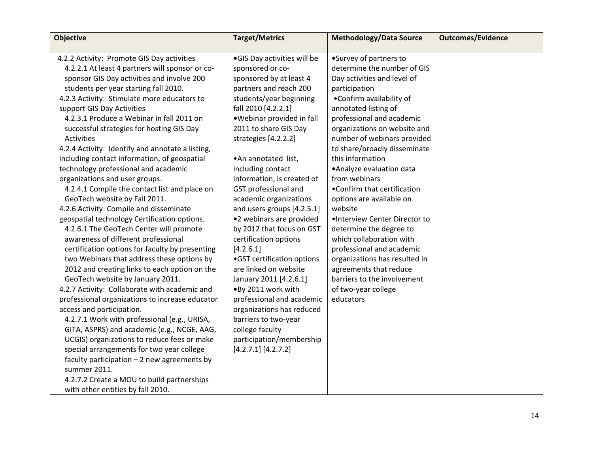| <b>Objective</b>                                                                                                                                                                                                                                                                                                                                                                                                                                                                                                                                                                                                                                                                                                                                                                                                                                                                                                                                                                                                                                              | <b>Target/Metrics</b>                                                                                                                                                                                                                                                                                                                                                                                                                                                                                                                                                                                | <b>Methodology/Data Source</b>                                                                                                                                                                                                                                                                                                                                                                                                                                                                                                                                                                                                                                      | <b>Outcomes/Evidence</b> |
|---------------------------------------------------------------------------------------------------------------------------------------------------------------------------------------------------------------------------------------------------------------------------------------------------------------------------------------------------------------------------------------------------------------------------------------------------------------------------------------------------------------------------------------------------------------------------------------------------------------------------------------------------------------------------------------------------------------------------------------------------------------------------------------------------------------------------------------------------------------------------------------------------------------------------------------------------------------------------------------------------------------------------------------------------------------|------------------------------------------------------------------------------------------------------------------------------------------------------------------------------------------------------------------------------------------------------------------------------------------------------------------------------------------------------------------------------------------------------------------------------------------------------------------------------------------------------------------------------------------------------------------------------------------------------|---------------------------------------------------------------------------------------------------------------------------------------------------------------------------------------------------------------------------------------------------------------------------------------------------------------------------------------------------------------------------------------------------------------------------------------------------------------------------------------------------------------------------------------------------------------------------------------------------------------------------------------------------------------------|--------------------------|
| 4.2.2 Activity: Promote GIS Day activities<br>4.2.2.1 At least 4 partners will sponsor or co-<br>sponsor GIS Day activities and involve 200<br>students per year starting fall 2010.<br>4.2.3 Activity: Stimulate more educators to<br>support GIS Day Activities<br>4.2.3.1 Produce a Webinar in fall 2011 on<br>successful strategies for hosting GIS Day<br>Activities<br>4.2.4 Activity: Identify and annotate a listing,<br>including contact information, of geospatial<br>technology professional and academic<br>organizations and user groups.<br>4.2.4.1 Compile the contact list and place on<br>GeoTech website by Fall 2011.<br>4.2.6 Activity: Compile and disseminate<br>geospatial technology Certification options.<br>4.2.6.1 The GeoTech Center will promote<br>awareness of different professional<br>certification options for faculty by presenting<br>two Webinars that address these options by<br>2012 and creating links to each option on the<br>GeoTech website by January 2011.<br>4.2.7 Activity: Collaborate with academic and | .GIS Day activities will be<br>sponsored or co-<br>sponsored by at least 4<br>partners and reach 200<br>students/year beginning<br>fall 2010 [4.2.2.1]<br>.Webinar provided in fall<br>2011 to share GIS Day<br>strategies [4.2.2.2]<br>•An annotated list,<br>including contact<br>information, is created of<br>GST professional and<br>academic organizations<br>and users groups [4.2.5.1]<br>•2 webinars are provided<br>by 2012 that focus on GST<br>certification options<br>[4.2.6.1]<br>•GST certification options<br>are linked on website<br>January 2011 [4.2.6.1]<br>.By 2011 work with | •Survey of partners to<br>determine the number of GIS<br>Day activities and level of<br>participation<br>•Confirm availability of<br>annotated listing of<br>professional and academic<br>organizations on website and<br>number of webinars provided<br>to share/broadly disseminate<br>this information<br>• Analyze evaluation data<br>from webinars<br>•Confirm that certification<br>options are available on<br>website<br>·Interview Center Director to<br>determine the degree to<br>which collaboration with<br>professional and academic<br>organizations has resulted in<br>agreements that reduce<br>barriers to the involvement<br>of two-year college |                          |
|                                                                                                                                                                                                                                                                                                                                                                                                                                                                                                                                                                                                                                                                                                                                                                                                                                                                                                                                                                                                                                                               |                                                                                                                                                                                                                                                                                                                                                                                                                                                                                                                                                                                                      |                                                                                                                                                                                                                                                                                                                                                                                                                                                                                                                                                                                                                                                                     |                          |
| professional organizations to increase educator<br>access and participation.<br>4.2.7.1 Work with professional (e.g., URISA,<br>GITA, ASPRS) and academic (e.g., NCGE, AAG,<br>UCGIS) organizations to reduce fees or make<br>special arrangements for two year college<br>faculty participation $-2$ new agreements by<br>summer 2011.                                                                                                                                                                                                                                                                                                                                                                                                                                                                                                                                                                                                                                                                                                                       | professional and academic<br>organizations has reduced<br>barriers to two-year<br>college faculty<br>participation/membership<br>[4.2.7.1] [4.2.7.2]                                                                                                                                                                                                                                                                                                                                                                                                                                                 | educators                                                                                                                                                                                                                                                                                                                                                                                                                                                                                                                                                                                                                                                           |                          |
| 4.2.7.2 Create a MOU to build partnerships<br>with other entities by fall 2010.                                                                                                                                                                                                                                                                                                                                                                                                                                                                                                                                                                                                                                                                                                                                                                                                                                                                                                                                                                               |                                                                                                                                                                                                                                                                                                                                                                                                                                                                                                                                                                                                      |                                                                                                                                                                                                                                                                                                                                                                                                                                                                                                                                                                                                                                                                     |                          |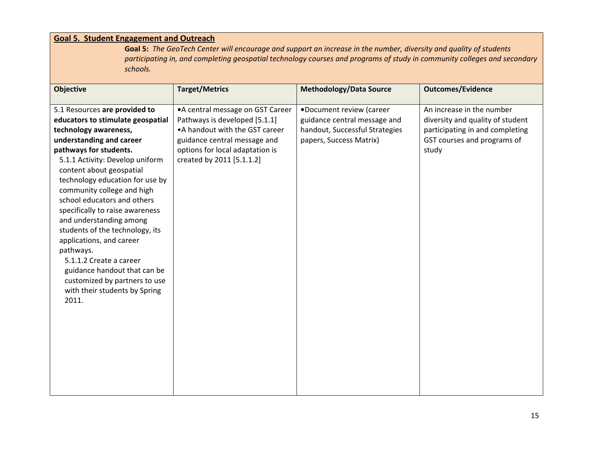| <b>Goal 5. Student Engagement and Outreach</b>                                                                                                                                                                                                                                                                                                                                                                                                                                                                                                                                                   |                                                                                                                                                                                                       |                                                                                                                       |                                                                                                                                          |  |
|--------------------------------------------------------------------------------------------------------------------------------------------------------------------------------------------------------------------------------------------------------------------------------------------------------------------------------------------------------------------------------------------------------------------------------------------------------------------------------------------------------------------------------------------------------------------------------------------------|-------------------------------------------------------------------------------------------------------------------------------------------------------------------------------------------------------|-----------------------------------------------------------------------------------------------------------------------|------------------------------------------------------------------------------------------------------------------------------------------|--|
| Goal 5: The GeoTech Center will encourage and support an increase in the number, diversity and quality of students<br>participating in, and completing geospatial technology courses and programs of study in community colleges and secondary<br>schools.                                                                                                                                                                                                                                                                                                                                       |                                                                                                                                                                                                       |                                                                                                                       |                                                                                                                                          |  |
| <b>Objective</b>                                                                                                                                                                                                                                                                                                                                                                                                                                                                                                                                                                                 | <b>Target/Metrics</b>                                                                                                                                                                                 | <b>Methodology/Data Source</b>                                                                                        | <b>Outcomes/Evidence</b>                                                                                                                 |  |
| 5.1 Resources are provided to<br>educators to stimulate geospatial<br>technology awareness,<br>understanding and career<br>pathways for students.<br>5.1.1 Activity: Develop uniform<br>content about geospatial<br>technology education for use by<br>community college and high<br>school educators and others<br>specifically to raise awareness<br>and understanding among<br>students of the technology, its<br>applications, and career<br>pathways.<br>5.1.1.2 Create a career<br>guidance handout that can be<br>customized by partners to use<br>with their students by Spring<br>2011. | • A central message on GST Career<br>Pathways is developed [5.1.1]<br>• A handout with the GST career<br>guidance central message and<br>options for local adaptation is<br>created by 2011 [5.1.1.2] | .Document review (career<br>guidance central message and<br>handout, Successful Strategies<br>papers, Success Matrix) | An increase in the number<br>diversity and quality of student<br>participating in and completing<br>GST courses and programs of<br>study |  |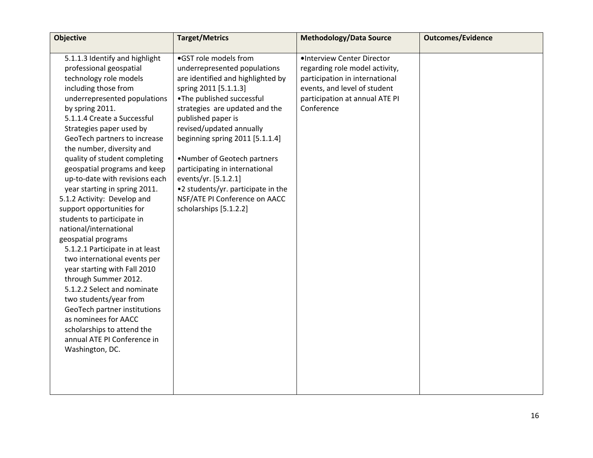| <b>Objective</b>                                                                                                                                                                                                                                                                                                                                                                                                                                                                                                                                                                                                                                                                                                                                                                                                                                                                                  | <b>Target/Metrics</b>                                                                                                                                                                                                                                                                                                                                                                                                                                             | <b>Methodology/Data Source</b>                                                                                                                                                 | <b>Outcomes/Evidence</b> |
|---------------------------------------------------------------------------------------------------------------------------------------------------------------------------------------------------------------------------------------------------------------------------------------------------------------------------------------------------------------------------------------------------------------------------------------------------------------------------------------------------------------------------------------------------------------------------------------------------------------------------------------------------------------------------------------------------------------------------------------------------------------------------------------------------------------------------------------------------------------------------------------------------|-------------------------------------------------------------------------------------------------------------------------------------------------------------------------------------------------------------------------------------------------------------------------------------------------------------------------------------------------------------------------------------------------------------------------------------------------------------------|--------------------------------------------------------------------------------------------------------------------------------------------------------------------------------|--------------------------|
| 5.1.1.3 Identify and highlight<br>professional geospatial<br>technology role models<br>including those from<br>underrepresented populations<br>by spring 2011.<br>5.1.1.4 Create a Successful<br>Strategies paper used by<br>GeoTech partners to increase<br>the number, diversity and<br>quality of student completing<br>geospatial programs and keep<br>up-to-date with revisions each<br>year starting in spring 2011.<br>5.1.2 Activity: Develop and<br>support opportunities for<br>students to participate in<br>national/international<br>geospatial programs<br>5.1.2.1 Participate in at least<br>two international events per<br>year starting with Fall 2010<br>through Summer 2012.<br>5.1.2.2 Select and nominate<br>two students/year from<br>GeoTech partner institutions<br>as nominees for AACC<br>scholarships to attend the<br>annual ATE PI Conference in<br>Washington, DC. | ·GST role models from<br>underrepresented populations<br>are identified and highlighted by<br>spring 2011 [5.1.1.3]<br>.The published successful<br>strategies are updated and the<br>published paper is<br>revised/updated annually<br>beginning spring 2011 [5.1.1.4]<br>.Number of Geotech partners<br>participating in international<br>events/yr. [5.1.2.1]<br>•2 students/yr. participate in the<br>NSF/ATE PI Conference on AACC<br>scholarships [5.1.2.2] | ·Interview Center Director<br>regarding role model activity,<br>participation in international<br>events, and level of student<br>participation at annual ATE PI<br>Conference |                          |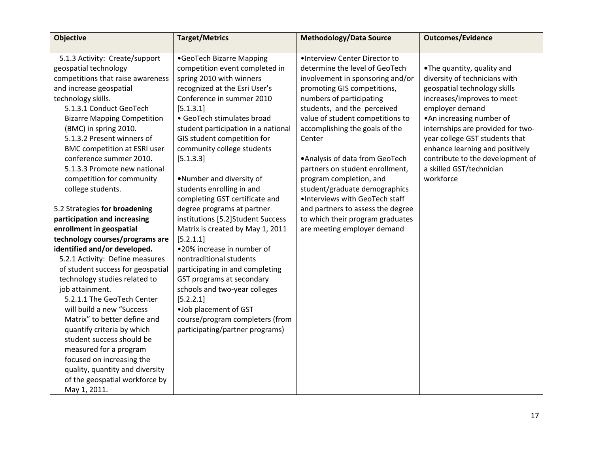| <b>Objective</b>                    | <b>Target/Metrics</b>               | <b>Methodology/Data Source</b>    | <b>Outcomes/Evidence</b>          |
|-------------------------------------|-------------------------------------|-----------------------------------|-----------------------------------|
|                                     |                                     |                                   |                                   |
| 5.1.3 Activity: Create/support      | •GeoTech Bizarre Mapping            | ·Interview Center Director to     |                                   |
| geospatial technology               | competition event completed in      | determine the level of GeoTech    | .The quantity, quality and        |
| competitions that raise awareness   | spring 2010 with winners            | involvement in sponsoring and/or  | diversity of technicians with     |
| and increase geospatial             | recognized at the Esri User's       | promoting GIS competitions,       | geospatial technology skills      |
| technology skills.                  | Conference in summer 2010           | numbers of participating          | increases/improves to meet        |
| 5.1.3.1 Conduct GeoTech             | [5.1.3.1]                           | students, and the perceived       | employer demand                   |
| <b>Bizarre Mapping Competition</b>  | • GeoTech stimulates broad          | value of student competitions to  | . An increasing number of         |
| (BMC) in spring 2010.               | student participation in a national | accomplishing the goals of the    | internships are provided for two- |
| 5.1.3.2 Present winners of          | GIS student competition for         | Center                            | year college GST students that    |
| <b>BMC competition at ESRI user</b> | community college students          |                                   | enhance learning and positively   |
| conference summer 2010.             | [5.1.3.3]                           | • Analysis of data from GeoTech   | contribute to the development of  |
| 5.1.3.3 Promote new national        |                                     | partners on student enrollment,   | a skilled GST/technician          |
| competition for community           | .Number and diversity of            | program completion, and           | workforce                         |
| college students.                   | students enrolling in and           | student/graduate demographics     |                                   |
|                                     | completing GST certificate and      | .Interviews with GeoTech staff    |                                   |
| 5.2 Strategies for broadening       | degree programs at partner          | and partners to assess the degree |                                   |
| participation and increasing        | institutions [5.2]Student Success   | to which their program graduates  |                                   |
| enrollment in geospatial            | Matrix is created by May 1, 2011    | are meeting employer demand       |                                   |
| technology courses/programs are     | [5.2.1.1]                           |                                   |                                   |
| identified and/or developed.        | •20% increase in number of          |                                   |                                   |
| 5.2.1 Activity: Define measures     | nontraditional students             |                                   |                                   |
| of student success for geospatial   | participating in and completing     |                                   |                                   |
| technology studies related to       | GST programs at secondary           |                                   |                                   |
| job attainment.                     | schools and two-year colleges       |                                   |                                   |
| 5.2.1.1 The GeoTech Center          | [5.2.2.1]                           |                                   |                                   |
| will build a new "Success           | .Job placement of GST               |                                   |                                   |
| Matrix" to better define and        | course/program completers (from     |                                   |                                   |
| quantify criteria by which          | participating/partner programs)     |                                   |                                   |
| student success should be           |                                     |                                   |                                   |
| measured for a program              |                                     |                                   |                                   |
| focused on increasing the           |                                     |                                   |                                   |
| quality, quantity and diversity     |                                     |                                   |                                   |
| of the geospatial workforce by      |                                     |                                   |                                   |
| May 1, 2011.                        |                                     |                                   |                                   |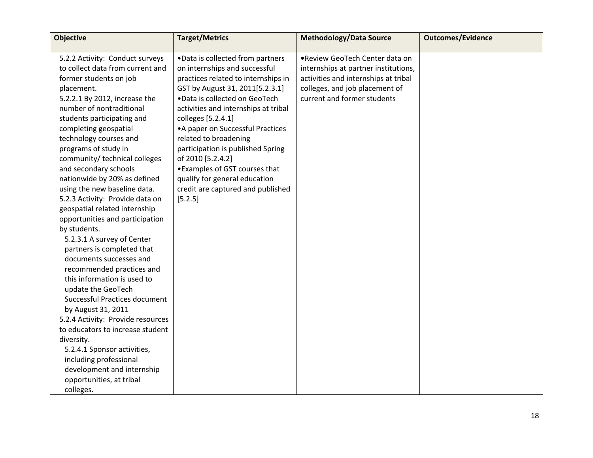| <b>Objective</b>                  | <b>Target/Metrics</b>                | <b>Methodology/Data Source</b>       | <b>Outcomes/Evidence</b> |
|-----------------------------------|--------------------------------------|--------------------------------------|--------------------------|
|                                   |                                      |                                      |                          |
| 5.2.2 Activity: Conduct surveys   | . Data is collected from partners    | .Review GeoTech Center data on       |                          |
| to collect data from current and  | on internships and successful        | internships at partner institutions, |                          |
| former students on job            | practices related to internships in  | activities and internships at tribal |                          |
| placement.                        | GST by August 31, 2011[5.2.3.1]      | colleges, and job placement of       |                          |
| 5.2.2.1 By 2012, increase the     | .Data is collected on GeoTech        | current and former students          |                          |
| number of nontraditional          | activities and internships at tribal |                                      |                          |
| students participating and        | colleges [5.2.4.1]                   |                                      |                          |
| completing geospatial             | • A paper on Successful Practices    |                                      |                          |
| technology courses and            | related to broadening                |                                      |                          |
| programs of study in              | participation is published Spring    |                                      |                          |
| community/ technical colleges     | of 2010 [5.2.4.2]                    |                                      |                          |
| and secondary schools             | • Examples of GST courses that       |                                      |                          |
| nationwide by 20% as defined      | qualify for general education        |                                      |                          |
| using the new baseline data.      | credit are captured and published    |                                      |                          |
| 5.2.3 Activity: Provide data on   | [5.2.5]                              |                                      |                          |
| geospatial related internship     |                                      |                                      |                          |
| opportunities and participation   |                                      |                                      |                          |
| by students.                      |                                      |                                      |                          |
| 5.2.3.1 A survey of Center        |                                      |                                      |                          |
| partners is completed that        |                                      |                                      |                          |
| documents successes and           |                                      |                                      |                          |
| recommended practices and         |                                      |                                      |                          |
| this information is used to       |                                      |                                      |                          |
| update the GeoTech                |                                      |                                      |                          |
| Successful Practices document     |                                      |                                      |                          |
| by August 31, 2011                |                                      |                                      |                          |
| 5.2.4 Activity: Provide resources |                                      |                                      |                          |
| to educators to increase student  |                                      |                                      |                          |
| diversity.                        |                                      |                                      |                          |
| 5.2.4.1 Sponsor activities,       |                                      |                                      |                          |
| including professional            |                                      |                                      |                          |
| development and internship        |                                      |                                      |                          |
| opportunities, at tribal          |                                      |                                      |                          |
| colleges.                         |                                      |                                      |                          |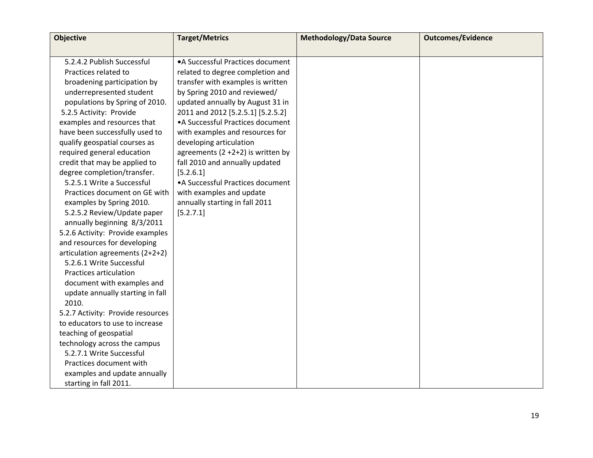| <b>Objective</b>                  | <b>Target/Metrics</b>                  | <b>Methodology/Data Source</b> | <b>Outcomes/Evidence</b> |
|-----------------------------------|----------------------------------------|--------------------------------|--------------------------|
|                                   |                                        |                                |                          |
| 5.2.4.2 Publish Successful        | • A Successful Practices document      |                                |                          |
| Practices related to              | related to degree completion and       |                                |                          |
| broadening participation by       | transfer with examples is written      |                                |                          |
| underrepresented student          | by Spring 2010 and reviewed/           |                                |                          |
| populations by Spring of 2010.    | updated annually by August 31 in       |                                |                          |
| 5.2.5 Activity: Provide           | 2011 and 2012 [5.2.5.1] [5.2.5.2]      |                                |                          |
| examples and resources that       | • A Successful Practices document      |                                |                          |
| have been successfully used to    | with examples and resources for        |                                |                          |
| qualify geospatial courses as     | developing articulation                |                                |                          |
| required general education        | agreements $(2 + 2 + 2)$ is written by |                                |                          |
| credit that may be applied to     | fall 2010 and annually updated         |                                |                          |
| degree completion/transfer.       | [5.2.6.1]                              |                                |                          |
| 5.2.5.1 Write a Successful        | • A Successful Practices document      |                                |                          |
| Practices document on GE with     | with examples and update               |                                |                          |
| examples by Spring 2010.          | annually starting in fall 2011         |                                |                          |
| 5.2.5.2 Review/Update paper       | [5.2.7.1]                              |                                |                          |
| annually beginning 8/3/2011       |                                        |                                |                          |
| 5.2.6 Activity: Provide examples  |                                        |                                |                          |
| and resources for developing      |                                        |                                |                          |
| articulation agreements (2+2+2)   |                                        |                                |                          |
| 5.2.6.1 Write Successful          |                                        |                                |                          |
| Practices articulation            |                                        |                                |                          |
| document with examples and        |                                        |                                |                          |
| update annually starting in fall  |                                        |                                |                          |
| 2010.                             |                                        |                                |                          |
| 5.2.7 Activity: Provide resources |                                        |                                |                          |
| to educators to use to increase   |                                        |                                |                          |
| teaching of geospatial            |                                        |                                |                          |
| technology across the campus      |                                        |                                |                          |
| 5.2.7.1 Write Successful          |                                        |                                |                          |
| Practices document with           |                                        |                                |                          |
| examples and update annually      |                                        |                                |                          |
| starting in fall 2011.            |                                        |                                |                          |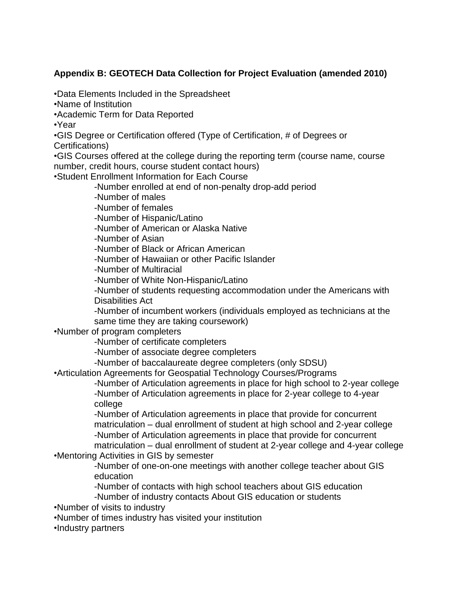### **Appendix B: GEOTECH Data Collection for Project Evaluation (amended 2010)**

•Data Elements Included in the Spreadsheet

•Name of Institution

•Academic Term for Data Reported

•Year

•GIS Degree or Certification offered (Type of Certification, # of Degrees or Certifications)

•GIS Courses offered at the college during the reporting term (course name, course number, credit hours, course student contact hours)

•Student Enrollment Information for Each Course

-Number enrolled at end of non-penalty drop-add period

-Number of males

-Number of females

-Number of Hispanic/Latino

-Number of American or Alaska Native

-Number of Asian

-Number of Black or African American

-Number of Hawaiian or other Pacific Islander

-Number of Multiracial

-Number of White Non-Hispanic/Latino

-Number of students requesting accommodation under the Americans with Disabilities Act

-Number of incumbent workers (individuals employed as technicians at the same time they are taking coursework)

•Number of program completers

-Number of certificate completers

-Number of associate degree completers

-Number of baccalaureate degree completers (only SDSU)

•Articulation Agreements for Geospatial Technology Courses/Programs

-Number of Articulation agreements in place for high school to 2-year college -Number of Articulation agreements in place for 2-year college to 4-year college

-Number of Articulation agreements in place that provide for concurrent matriculation – dual enrollment of student at high school and 2-year college -Number of Articulation agreements in place that provide for concurrent matriculation – dual enrollment of student at 2-year college and 4-year college

•Mentoring Activities in GIS by semester

-Number of one-on-one meetings with another college teacher about GIS education

-Number of contacts with high school teachers about GIS education

-Number of industry contacts About GIS education or students

•Number of visits to industry

•Number of times industry has visited your institution

•Industry partners